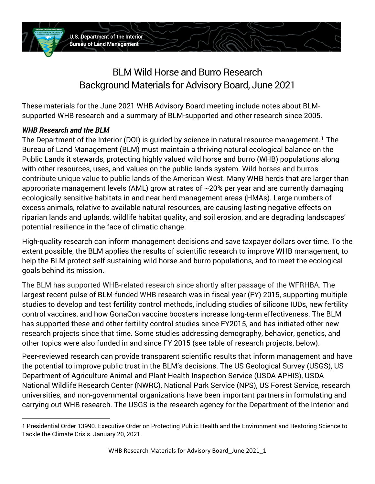

# BLM Wild Horse and Burro Research Background Materials for Advisory Board, June 2021

These materials for the June 2021 WHB Advisory Board meeting include notes about BLMsupported WHB research and a summary of BLM-supported and other research since 2005.

#### *WHB Research and the BLM*

The Department of the Interior (DOI) is guided by science in natural resource management.<sup>1</sup> The Bureau of Land Management (BLM) must maintain a thriving natural ecological balance on the Public Lands it stewards, protecting highly valued wild horse and burro (WHB) populations along with other resources, uses, and values on the public lands system. Wild horses and burros contribute unique value to public lands of the American West. Many WHB herds that are larger than appropriate management levels (AML) grow at rates of ~20% per year and are currently damaging ecologically sensitive habitats in and near herd management areas (HMAs). Large numbers of excess animals, relative to available natural resources, are causing lasting negative effects on riparian lands and uplands, wildlife habitat quality, and soil erosion, and are degrading landscapes' potential resilience in the face of climatic change.

High-quality research can inform management decisions and save taxpayer dollars over time. To the extent possible, the BLM applies the results of scientific research to improve WHB management, to help the BLM protect self-sustaining wild horse and burro populations, and to meet the ecological goals behind its mission.

The BLM has supported WHB-related research since shortly after passage of the WFRHBA. The largest recent pulse of BLM-funded WHB research was in fiscal year (FY) 2015, supporting multiple studies to develop and test fertility control methods, including studies of silicone IUDs, new fertility control vaccines, and how GonaCon vaccine boosters increase long-term effectiveness. The BLM has supported these and other fertility control studies since FY2015, and has initiated other new research projects since that time. Some studies addressing demography, behavior, genetics, and other topics were also funded in and since FY 2015 (see table of research projects, below).

Peer-reviewed research can provide transparent scientific results that inform management and have the potential to improve public trust in the BLM's decisions. The US Geological Survey (USGS), US Department of Agriculture Animal and Plant Health Inspection Service (USDA APHIS), USDA National Wildlife Research Center (NWRC), National Park Service (NPS), US Forest Service, research universities, and non-governmental organizations have been important partners in formulating and carrying out WHB research. The USGS is the research agency for the Department of the Interior and

<sup>1</sup> Presidential Order 13990. Executive Order on Protecting Public Health and the Environment and Restoring Science to Tackle the Climate Crisis. January 20, 2021.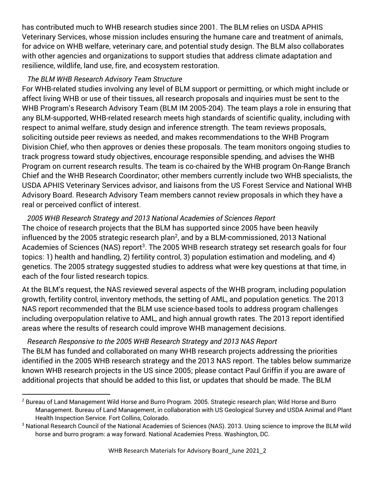has contributed much to WHB research studies since 2001. The BLM relies on USDA APHIS Veterinary Services, whose mission includes ensuring the humane care and treatment of animals, for advice on WHB welfare, veterinary care, and potential study design. The BLM also collaborates with other agencies and organizations to support studies that address climate adaptation and resilience, wildlife, land use, fire, and ecosystem restoration.

#### *The BLM WHB Research Advisory Team Structure*

For WHB-related studies involving any level of BLM support or permitting, or which might include or affect living WHB or use of their tissues, all research proposals and inquiries must be sent to the WHB Program's Research Advisory Team (BLM IM 2005-204). The team plays a role in ensuring that any BLM-supported, WHB-related research meets high standards of scientific quality, including with respect to animal welfare, study design and inference strength. The team reviews proposals, soliciting outside peer reviews as needed, and makes recommendations to the WHB Program Division Chief, who then approves or denies these proposals. The team monitors ongoing studies to track progress toward study objectives, encourage responsible spending, and advises the WHB Program on current research results. The team is co-chaired by the WHB program On-Range Branch Chief and the WHB Research Coordinator; other members currently include two WHB specialists, the USDA APHIS Veterinary Services advisor, and liaisons from the US Forest Service and National WHB Advisory Board. Research Advisory Team members cannot review proposals in which they have a real or perceived conflict of interest.

#### *2005 WHB Research Strategy and 2013 National Academies of Sciences Report*

The choice of research projects that the BLM has supported since 2005 have been heavily influenced by the 2005 strategic research plan<sup>2</sup>, and by a BLM-commissioned, 2013 National Academies of Sciences (NAS) report<sup>3</sup>. The 2005 WHB research strategy set research goals for four topics: 1) health and handling, 2) fertility control, 3) population estimation and modeling, and 4) genetics. The 2005 strategy suggested studies to address what were key questions at that time, in each of the four listed research topics.

At the BLM's request, the NAS reviewed several aspects of the WHB program, including population growth, fertility control, inventory methods, the setting of AML, and population genetics. The 2013 NAS report recommended that the BLM use science-based tools to address program challenges including overpopulation relative to AML, and high annual growth rates. The 2013 report identified areas where the results of research could improve WHB management decisions.

#### *Research Responsive to the 2005 WHB Research Strategy and 2013 NAS Report*

The BLM has funded and collaborated on many WHB research projects addressing the priorities identified in the 2005 WHB research strategy and the 2013 NAS report. The tables below summarize known WHB research projects in the US since 2005; please contact Paul Griffin if you are aware of additional projects that should be added to this list, or updates that should be made. The BLM

<sup>2</sup> Bureau of Land Management Wild Horse and Burro Program. 2005. Strategic research plan; Wild Horse and Burro Management. Bureau of Land Management, in collaboration with US Geological Survey and USDA Animal and Plant Health Inspection Service. Fort Collins, Colorado.

<sup>&</sup>lt;sup>3</sup> National Research Council of the National Academies of Sciences (NAS). 2013. Using science to improve the BLM wild horse and burro program: a way forward. National Academies Press. Washington, DC.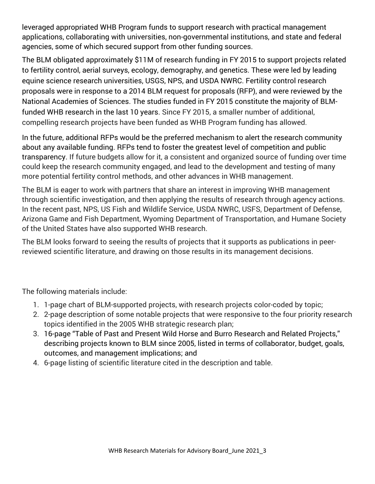leveraged appropriated WHB Program funds to support research with practical management applications, collaborating with universities, non-governmental institutions, and state and federal agencies, some of which secured support from other funding sources.

The BLM obligated approximately \$11M of research funding in FY 2015 to support projects related to fertility control, aerial surveys, ecology, demography, and genetics. These were led by leading equine science research universities, USGS, NPS, and USDA NWRC. Fertility control research proposals were in response to a 2014 BLM request for proposals (RFP), and were reviewed by the National Academies of Sciences. The studies funded in FY 2015 constitute the majority of BLMfunded WHB research in the last 10 years. Since FY 2015, a smaller number of additional, compelling research projects have been funded as WHB Program funding has allowed.

In the future, additional RFPs would be the preferred mechanism to alert the research community about any available funding. RFPs tend to foster the greatest level of competition and public transparency. If future budgets allow for it, a consistent and organized source of funding over time could keep the research community engaged, and lead to the development and testing of many more potential fertility control methods, and other advances in WHB management.

The BLM is eager to work with partners that share an interest in improving WHB management through scientific investigation, and then applying the results of research through agency actions. In the recent past, NPS, US Fish and Wildlife Service, USDA NWRC, USFS, Department of Defense, Arizona Game and Fish Department, Wyoming Department of Transportation, and Humane Society of the United States have also supported WHB research.

The BLM looks forward to seeing the results of projects that it supports as publications in peerreviewed scientific literature, and drawing on those results in its management decisions.

The following materials include:

- 1. 1-page chart of BLM-supported projects, with research projects color-coded by topic;
- 2. 2-page description of some notable projects that were responsive to the four priority research topics identified in the 2005 WHB strategic research plan;
- 3. 16-page "Table of Past and Present Wild Horse and Burro Research and Related Projects," describing projects known to BLM since 2005, listed in terms of collaborator, budget, goals, outcomes, and management implications; and
- 4. 6-page listing of scientific literature cited in the description and table.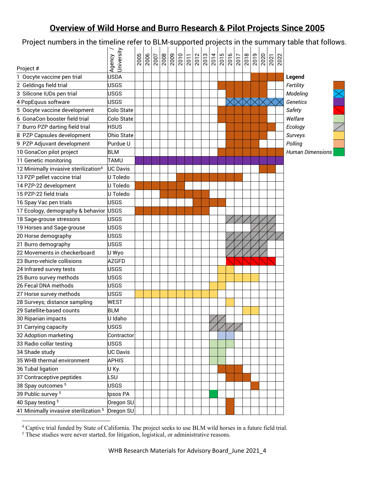# **Overview of Wild Horse and Burro Research & Pilot Projects Since 2005**

Project numbers in the timeline refer to BLM-supported projects in the summary table that follows.

|                                                  | Jniversity<br>Agency | 2005 | $\frac{2006}{2007}$ |  | $\frac{ 8 }{ 8 8 8 8 8 8 8 8 8 8}$ |  | 2014 | $\frac{2015}{2016}$ | 2017 | 2018 | $\frac{15}{20}$ | 2022 |                             |                     |
|--------------------------------------------------|----------------------|------|---------------------|--|------------------------------------|--|------|---------------------|------|------|-----------------|------|-----------------------------|---------------------|
| Project #<br>1 Oocyte vaccine pen trial          | <b>JSDA</b>          |      |                     |  |                                    |  |      |                     |      |      |                 |      | Legend                      |                     |
| 2 Geldings field trial                           | <b>USGS</b>          |      |                     |  |                                    |  |      |                     |      |      |                 |      | Fertility                   |                     |
|                                                  | USGS                 |      |                     |  |                                    |  |      |                     |      |      |                 |      |                             |                     |
| 3 Silicone IUDs pen trial                        |                      |      |                     |  |                                    |  |      |                     |      |      |                 |      | Modeling<br><b>Genetics</b> | $\overline{\times}$ |
| 4 PopEquus software                              | USGS                 |      |                     |  |                                    |  |      |                     |      |      |                 |      |                             |                     |
| 5 Oocyte vaccine development                     | Colo State           |      |                     |  |                                    |  |      |                     |      |      |                 |      | Safety                      |                     |
| 6 GonaCon booster field trial                    | Colo State           |      |                     |  |                                    |  |      |                     |      |      |                 |      | Welfare                     |                     |
| 7 Burro PZP darting field trial                  | <b>HSUS</b>          |      |                     |  |                                    |  |      |                     |      |      |                 |      | Ecology                     | $\diagup$           |
| 8 PZP Capsules development                       | Ohio State           |      |                     |  |                                    |  |      |                     |      |      |                 |      | Surveys                     |                     |
| 9 PZP Adjuvant development                       | Purdue U             |      |                     |  |                                    |  |      |                     |      |      |                 |      | Polling                     |                     |
| 10 GonaCon pilot project                         | <b>BLM</b>           |      |                     |  |                                    |  |      |                     |      |      |                 |      | <b>Human Dimensions</b>     |                     |
| 11 Genetic monitoring                            | TAMU                 |      |                     |  |                                    |  |      |                     |      |      |                 |      |                             |                     |
| 12 Minimally invasive sterilization <sup>4</sup> | <b>UC Davis</b>      |      |                     |  |                                    |  |      |                     |      |      |                 |      |                             |                     |
| 13 PZP pellet vaccine trial                      | U Toledo             |      |                     |  |                                    |  |      |                     |      |      |                 |      |                             |                     |
| 14 PZP-22 development                            | U Toledo             |      |                     |  |                                    |  |      |                     |      |      |                 |      |                             |                     |
| 15 PZP-22 field trials                           | U Toledo             |      |                     |  |                                    |  |      |                     |      |      |                 |      |                             |                     |
| 16 Spay Vac pen trials                           | <b>USGS</b>          |      |                     |  |                                    |  |      |                     |      |      |                 |      |                             |                     |
| 17 Ecology, demography & behavior                | <b>USGS</b>          |      |                     |  |                                    |  |      |                     |      |      |                 |      |                             |                     |
| 18 Sage-grouse stressors                         | USGS                 |      |                     |  |                                    |  |      |                     |      |      |                 |      |                             |                     |
| 19 Horses and Sage-grouse                        | <b>USGS</b>          |      |                     |  |                                    |  |      |                     |      |      |                 |      |                             |                     |
| 20 Horse demography                              | <b>USGS</b>          |      |                     |  |                                    |  |      |                     |      |      |                 |      |                             |                     |
| 21 Burro demography                              | <b>USGS</b>          |      |                     |  |                                    |  |      |                     |      |      |                 |      |                             |                     |
| 22 Movements in checkerboard                     | U Wyo                |      |                     |  |                                    |  |      |                     |      |      |                 |      |                             |                     |
| 23 Burro-vehicle collisions                      | <b>AZGFD</b>         |      |                     |  |                                    |  |      |                     |      |      |                 |      |                             |                     |
| 24 Infrared survey tests                         | USGS                 |      |                     |  |                                    |  |      |                     |      |      |                 |      |                             |                     |
| 25 Burro survey methods                          | USGS                 |      |                     |  |                                    |  |      |                     |      |      |                 |      |                             |                     |
| 26 Fecal DNA methods                             | USGS                 |      |                     |  |                                    |  |      |                     |      |      |                 |      |                             |                     |
| 27 Horse survey methods                          | <b>USGS</b>          |      |                     |  |                                    |  |      |                     |      |      |                 |      |                             |                     |
| 28 Surveys; distance sampling                    | <b>WEST</b>          |      |                     |  |                                    |  |      |                     |      |      |                 |      |                             |                     |
| 29 Satellite-based counts                        | <b>BLM</b>           |      |                     |  |                                    |  |      |                     |      |      |                 |      |                             |                     |
| 30 Riparian impacts                              | U Idaho              |      |                     |  |                                    |  |      |                     |      |      |                 |      |                             |                     |
| 31 Carrying capacity                             | <b>USGS</b>          |      |                     |  |                                    |  |      |                     |      |      |                 |      |                             |                     |
| 32 Adoption marketing                            | Contractor           |      |                     |  |                                    |  |      |                     |      |      |                 |      |                             |                     |
| 33 Radio collar testing                          | <b>USGS</b>          |      |                     |  |                                    |  |      |                     |      |      |                 |      |                             |                     |
| 34 Shade study                                   | UC Davis             |      |                     |  |                                    |  |      |                     |      |      |                 |      |                             |                     |
| 35 WHB thermal environment                       | <b>APHIS</b>         |      |                     |  |                                    |  |      |                     |      |      |                 |      |                             |                     |
| 36 Tubal ligation                                | U Ky.                |      |                     |  |                                    |  |      |                     |      |      |                 |      |                             |                     |
| 37 Contraceptive peptides                        | <b>SU</b>            |      |                     |  |                                    |  |      |                     |      |      |                 |      |                             |                     |
| 38 Spay outcomes 5                               | <b>USGS</b>          |      |                     |  |                                    |  |      |                     |      |      |                 |      |                             |                     |
| 39 Public survey <sup>5</sup>                    | Ipsos PA             |      |                     |  |                                    |  |      |                     |      |      |                 |      |                             |                     |
| 40 Spay testing 5                                | Oregon SU            |      |                     |  |                                    |  |      |                     |      |      |                 |      |                             |                     |
| 41 Minimally invasive sterilization <sup>5</sup> | Oregon SU            |      |                     |  |                                    |  |      |                     |      |      |                 |      |                             |                     |

 $4$  Captive trial funded by State of California. The project seeks to use BLM wild horses in a future field trial.

<sup>5</sup> These studies were never started, for litigation, logistical, or administrative reasons.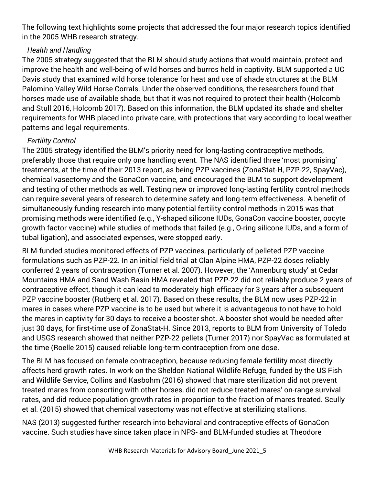The following text highlights some projects that addressed the four major research topics identified in the 2005 WHB research strategy.

#### *Health and Handling*

The 2005 strategy suggested that the BLM should study actions that would maintain, protect and improve the health and well-being of wild horses and burros held in captivity. BLM supported a UC Davis study that examined wild horse tolerance for heat and use of shade structures at the BLM Palomino Valley Wild Horse Corrals. Under the observed conditions, the researchers found that horses made use of available shade, but that it was not required to protect their health (Holcomb and Stull 2016, Holcomb 2017). Based on this information, the BLM updated its shade and shelter requirements for WHB placed into private care, with protections that vary according to local weather patterns and legal requirements.

### *Fertility Control*

The 2005 strategy identified the BLM's priority need for long-lasting contraceptive methods, preferably those that require only one handling event. The NAS identified three 'most promising' treatments, at the time of their 2013 report, as being PZP vaccines (ZonaStat-H, PZP-22, SpayVac), chemical vasectomy and the GonaCon vaccine, and encouraged the BLM to support development and testing of other methods as well. Testing new or improved long-lasting fertility control methods can require several years of research to determine safety and long-term effectiveness. A benefit of simultaneously funding research into many potential fertility control methods in 2015 was that promising methods were identified (e.g., Y-shaped silicone IUDs, GonaCon vaccine booster, oocyte growth factor vaccine) while studies of methods that failed (e.g., O-ring silicone IUDs, and a form of tubal ligation), and associated expenses, were stopped early.

BLM-funded studies monitored effects of PZP vaccines, particularly of pelleted PZP vaccine formulations such as PZP-22. In an initial field trial at Clan Alpine HMA, PZP-22 doses reliably conferred 2 years of contraception (Turner et al. 2007). However, the 'Annenburg study' at Cedar Mountains HMA and Sand Wash Basin HMA revealed that PZP-22 did not reliably produce 2 years of contraceptive effect, though it can lead to moderately high efficacy for 3 years after a subsequent PZP vaccine booster (Rutberg et al. 2017). Based on these results, the BLM now uses PZP-22 in mares in cases where PZP vaccine is to be used but where it is advantageous to not have to hold the mares in captivity for 30 days to receive a booster shot. A booster shot would be needed after just 30 days, for first-time use of ZonaStat-H. Since 2013, reports to BLM from University of Toledo and USGS research showed that neither PZP-22 pellets (Turner 2017) nor SpayVac as formulated at the time (Roelle 2015) caused reliable long-term contraception from one dose.

The BLM has focused on female contraception, because reducing female fertility most directly affects herd growth rates. In work on the Sheldon National Wildlife Refuge, funded by the US Fish and Wildlife Service, Collins and Kasbohm (2016) showed that mare sterilization did not prevent treated mares from consorting with other horses, did not reduce treated mares' on-range survival rates, and did reduce population growth rates in proportion to the fraction of mares treated. Scully et al. (2015) showed that chemical vasectomy was not effective at sterilizing stallions.

NAS (2013) suggested further research into behavioral and contraceptive effects of GonaCon vaccine. Such studies have since taken place in NPS- and BLM-funded studies at Theodore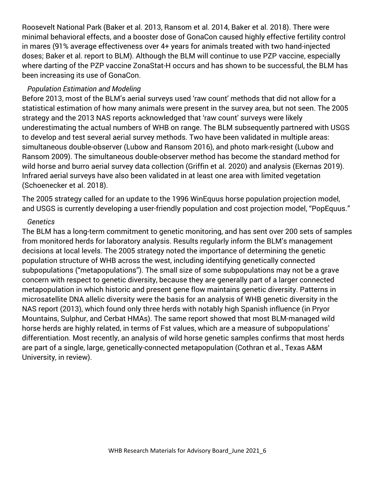Roosevelt National Park (Baker et al. 2013, Ransom et al. 2014, Baker et al. 2018). There were minimal behavioral effects, and a booster dose of GonaCon caused highly effective fertility control in mares (91% average effectiveness over 4+ years for animals treated with two hand-injected doses; Baker et al. report to BLM). Although the BLM will continue to use PZP vaccine, especially where darting of the PZP vaccine ZonaStat-H occurs and has shown to be successful, the BLM has been increasing its use of GonaCon.

#### *Population Estimation and Modeling*

Before 2013, most of the BLM's aerial surveys used 'raw count' methods that did not allow for a statistical estimation of how many animals were present in the survey area, but not seen. The 2005 strategy and the 2013 NAS reports acknowledged that 'raw count' surveys were likely underestimating the actual numbers of WHB on range. The BLM subsequently partnered with USGS to develop and test several aerial survey methods. Two have been validated in multiple areas: simultaneous double-observer (Lubow and Ransom 2016), and photo mark-resight (Lubow and Ransom 2009). The simultaneous double-observer method has become the standard method for wild horse and burro aerial survey data collection (Griffin et al. 2020) and analysis (Ekernas 2019). Infrared aerial surveys have also been validated in at least one area with limited vegetation (Schoenecker et al. 2018).

The 2005 strategy called for an update to the 1996 WinEquus horse population projection model, and USGS is currently developing a user-friendly population and cost projection model, "PopEquus."

#### *Genetics*

The BLM has a long-term commitment to genetic monitoring, and has sent over 200 sets of samples from monitored herds for laboratory analysis. Results regularly inform the BLM's management decisions at local levels. The 2005 strategy noted the importance of determining the genetic population structure of WHB across the west, including identifying genetically connected subpopulations ("metapopulations"). The small size of some subpopulations may not be a grave concern with respect to genetic diversity, because they are generally part of a larger connected metapopulation in which historic and present gene flow maintains genetic diversity. Patterns in microsatellite DNA allelic diversity were the basis for an analysis of WHB genetic diversity in the NAS report (2013), which found only three herds with notably high Spanish influence (in Pryor Mountains, Sulphur, and Cerbat HMAs). The same report showed that most BLM-managed wild horse herds are highly related, in terms of Fst values, which are a measure of subpopulations' differentiation. Most recently, an analysis of wild horse genetic samples confirms that most herds are part of a single, large, genetically-connected metapopulation (Cothran et al., Texas A&M University, in review).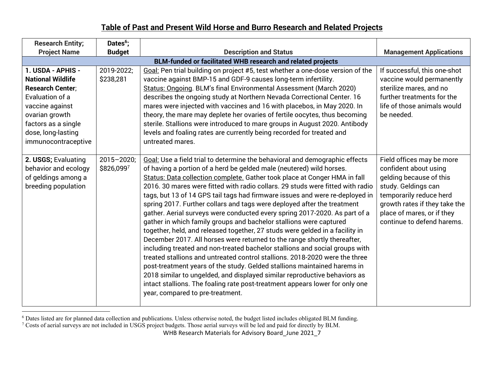## **Table of Past and Present Wild Horse and Burro Research and Related Projects**

| <b>Research Entity;</b>                                                                                                                                                                              | Dates <sup>6</sup> ;                                               |                                                                                                                                                                                                                                                                                                                                                                                                                                                                                                                                                                                                                                                                                                                                                                                                                                                                                                                                                                                                                                                                                                                                                                                                                                          |                                                                                                                                                                                                                              |  |  |  |  |  |  |
|------------------------------------------------------------------------------------------------------------------------------------------------------------------------------------------------------|--------------------------------------------------------------------|------------------------------------------------------------------------------------------------------------------------------------------------------------------------------------------------------------------------------------------------------------------------------------------------------------------------------------------------------------------------------------------------------------------------------------------------------------------------------------------------------------------------------------------------------------------------------------------------------------------------------------------------------------------------------------------------------------------------------------------------------------------------------------------------------------------------------------------------------------------------------------------------------------------------------------------------------------------------------------------------------------------------------------------------------------------------------------------------------------------------------------------------------------------------------------------------------------------------------------------|------------------------------------------------------------------------------------------------------------------------------------------------------------------------------------------------------------------------------|--|--|--|--|--|--|
| <b>Project Name</b>                                                                                                                                                                                  | <b>Budget</b>                                                      | <b>Description and Status</b>                                                                                                                                                                                                                                                                                                                                                                                                                                                                                                                                                                                                                                                                                                                                                                                                                                                                                                                                                                                                                                                                                                                                                                                                            | <b>Management Applications</b>                                                                                                                                                                                               |  |  |  |  |  |  |
|                                                                                                                                                                                                      | <b>BLM-funded or facilitated WHB research and related projects</b> |                                                                                                                                                                                                                                                                                                                                                                                                                                                                                                                                                                                                                                                                                                                                                                                                                                                                                                                                                                                                                                                                                                                                                                                                                                          |                                                                                                                                                                                                                              |  |  |  |  |  |  |
| 1. USDA - APHIS -<br><b>National Wildlife</b><br><b>Research Center;</b><br>Evaluation of a<br>vaccine against<br>ovarian growth<br>factors as a single<br>dose, long-lasting<br>immunocontraceptive | 2019-2022;<br>\$238,281                                            | Goal: Pen trial building on project #5, test whether a one-dose version of the<br>vaccine against BMP-15 and GDF-9 causes long-term infertility.<br>Status: Ongoing. BLM's final Environmental Assessment (March 2020)<br>describes the ongoing study at Northern Nevada Correctional Center. 16<br>mares were injected with vaccines and 16 with placebos, in May 2020. In<br>theory, the mare may deplete her ovaries of fertile oocytes, thus becoming<br>sterile. Stallions were introduced to mare groups in August 2020. Antibody<br>levels and foaling rates are currently being recorded for treated and<br>untreated mares.                                                                                                                                                                                                                                                                                                                                                                                                                                                                                                                                                                                                     | If successful, this one-shot<br>vaccine would permanently<br>sterilize mares, and no<br>further treatments for the<br>life of those animals would<br>be needed.                                                              |  |  |  |  |  |  |
| 2. USGS; Evaluating<br>behavior and ecology<br>of geldings among a<br>breeding population                                                                                                            | $2015 - 2020$ ;<br>\$826,0997                                      | Goal: Use a field trial to determine the behavioral and demographic effects<br>of having a portion of a herd be gelded male (neutered) wild horses.<br>Status: Data collection complete. Gather took place at Conger HMA in fall<br>2016. 30 mares were fitted with radio collars. 29 studs were fitted with radio<br>tags, but 13 of 14 GPS tail tags had firmware issues and were re-deployed in<br>spring 2017. Further collars and tags were deployed after the treatment<br>gather. Aerial surveys were conducted every spring 2017-2020. As part of a<br>gather in which family groups and bachelor stallions were captured<br>together, held, and released together, 27 studs were gelded in a facility in<br>December 2017. All horses were returned to the range shortly thereafter,<br>including treated and non-treated bachelor stallions and social groups with<br>treated stallions and untreated control stallions, 2018-2020 were the three<br>post-treatment years of the study. Gelded stallions maintained harems in<br>2018 similar to ungelded, and displayed similar reproductive behaviors as<br>intact stallions. The foaling rate post-treatment appears lower for only one<br>year, compared to pre-treatment. | Field offices may be more<br>confident about using<br>gelding because of this<br>study. Geldings can<br>temporarily reduce herd<br>growth rates if they take the<br>place of mares, or if they<br>continue to defend harems. |  |  |  |  |  |  |

 $6$  Dates listed are for planned data collection and publications. Unless otherwise noted, the budget listed includes obligated BLM funding.

 $7$  Costs of aerial surveys are not included in USGS project budgets. Those aerial surveys will be led and paid for directly by BLM.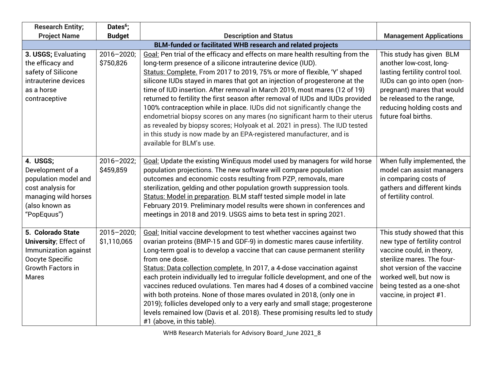| <b>Research Entity;</b>                                                                                                            | Dates <sup>6</sup> ;           |                                                                                                                                                                                                                                                                                                                                                                                                                                                                                                                                                                                                                                                                                                                                                                                                                    |                                                                                                                                                                                                                                            |
|------------------------------------------------------------------------------------------------------------------------------------|--------------------------------|--------------------------------------------------------------------------------------------------------------------------------------------------------------------------------------------------------------------------------------------------------------------------------------------------------------------------------------------------------------------------------------------------------------------------------------------------------------------------------------------------------------------------------------------------------------------------------------------------------------------------------------------------------------------------------------------------------------------------------------------------------------------------------------------------------------------|--------------------------------------------------------------------------------------------------------------------------------------------------------------------------------------------------------------------------------------------|
| <b>Project Name</b>                                                                                                                | <b>Budget</b>                  | <b>Description and Status</b>                                                                                                                                                                                                                                                                                                                                                                                                                                                                                                                                                                                                                                                                                                                                                                                      | <b>Management Applications</b>                                                                                                                                                                                                             |
|                                                                                                                                    |                                | BLM-funded or facilitated WHB research and related projects                                                                                                                                                                                                                                                                                                                                                                                                                                                                                                                                                                                                                                                                                                                                                        |                                                                                                                                                                                                                                            |
| 3. USGS; Evaluating<br>the efficacy and<br>safety of Silicone<br>intrauterine devices<br>as a horse<br>contraceptive               | $2016 - 2020;$<br>\$750,826    | Goal: Pen trial of the efficacy and effects on mare health resulting from the<br>long-term presence of a silicone intrauterine device (IUD).<br>Status: Complete. From 2017 to 2019, 75% or more of flexible, 'Y' shaped<br>silicone IUDs stayed in mares that got an injection of progesterone at the<br>time of IUD insertion. After removal in March 2019, most mares (12 of 19)<br>returned to fertility the first season after removal of IUDs and IUDs provided<br>100% contraception while in place. IUDs did not significantly change the<br>endometrial biopsy scores on any mares (no significant harm to their uterus<br>as revealed by biopsy scores; Holyoak et al. 2021 in press). The IUD tested<br>in this study is now made by an EPA-registered manufacturer, and is<br>available for BLM's use. | This study has given BLM<br>another low-cost, long-<br>lasting fertility control tool.<br>IUDs can go into open (non-<br>pregnant) mares that would<br>be released to the range,<br>reducing holding costs and<br>future foal births.      |
| 4. USGS;<br>Development of a<br>population model and<br>cost analysis for<br>managing wild horses<br>(also known as<br>"PopEquus") | $2016 - 2022$ ;<br>\$459,859   | Goal: Update the existing WinEquus model used by managers for wild horse<br>population projections. The new software will compare population<br>outcomes and economic costs resulting from PZP, removals, mare<br>sterilization, gelding and other population growth suppression tools.<br>Status: Model in preparation. BLM staff tested simple model in late<br>February 2019. Preliminary model results were shown in conferences and<br>meetings in 2018 and 2019. USGS aims to beta test in spring 2021.                                                                                                                                                                                                                                                                                                      | When fully implemented, the<br>model can assist managers<br>in comparing costs of<br>gathers and different kinds<br>of fertility control.                                                                                                  |
| 5. Colorado State<br>University; Effect of<br>Immunization against<br>Oocyte Specific<br>Growth Factors in<br>Mares                | $2015 - 2020$ ;<br>\$1,110,065 | Goal: Initial vaccine development to test whether vaccines against two<br>ovarian proteins (BMP-15 and GDF-9) in domestic mares cause infertility.<br>Long-term goal is to develop a vaccine that can cause permanent sterility<br>from one dose.<br>Status: Data collection complete. In 2017, a 4-dose vaccination against<br>each protein individually led to irregular follicle development, and one of the<br>vaccines reduced ovulations. Ten mares had 4 doses of a combined vaccine<br>with both proteins. None of those mares ovulated in 2018, (only one in<br>2019); follicles developed only to a very early and small stage; progesterone<br>levels remained low (Davis et al. 2018). These promising results led to study<br>#1 (above, in this table).                                              | This study showed that this<br>new type of fertility control<br>vaccine could, in theory,<br>sterilize mares. The four-<br>shot version of the vaccine<br>worked well, but now is<br>being tested as a one-shot<br>vaccine, in project #1. |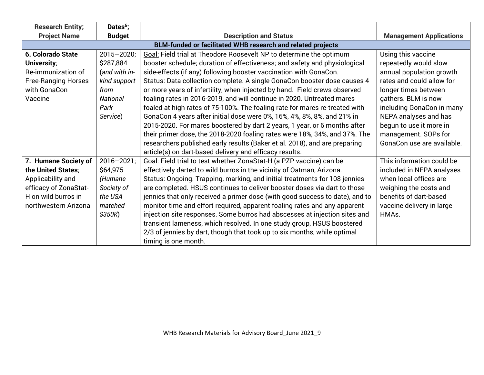| <b>Research Entity;</b>    | Dates <sup>6</sup> ;                                        |                                                                              |                                |  |  |  |  |  |
|----------------------------|-------------------------------------------------------------|------------------------------------------------------------------------------|--------------------------------|--|--|--|--|--|
| <b>Project Name</b>        | <b>Budget</b>                                               | <b>Description and Status</b>                                                | <b>Management Applications</b> |  |  |  |  |  |
|                            | BLM-funded or facilitated WHB research and related projects |                                                                              |                                |  |  |  |  |  |
| <b>6. Colorado State</b>   | $2015 - 2020$ ;                                             | <b>Goal: Field trial at Theodore Roosevelt NP to determine the optimum</b>   | Using this vaccine             |  |  |  |  |  |
| University;                | \$287,884                                                   | booster schedule; duration of effectiveness; and safety and physiological    | repeatedly would slow          |  |  |  |  |  |
| Re-immunization of         | (and with in-                                               | side-effects (if any) following booster vaccination with GonaCon.            | annual population growth       |  |  |  |  |  |
| <b>Free-Ranging Horses</b> | kind support                                                | Status: Data collection complete. A single GonaCon booster dose causes 4     | rates and could allow for      |  |  |  |  |  |
| with GonaCon               | from                                                        | or more years of infertility, when injected by hand. Field crews observed    | longer times between           |  |  |  |  |  |
| Vaccine                    | <b>National</b>                                             | foaling rates in 2016-2019, and will continue in 2020. Untreated mares       | gathers. BLM is now            |  |  |  |  |  |
|                            | Park                                                        | foaled at high rates of 75-100%. The foaling rate for mares re-treated with  | including GonaCon in many      |  |  |  |  |  |
|                            | Service)                                                    | GonaCon 4 years after initial dose were 0%, 16%, 4%, 8%, 8%, and 21% in      | NEPA analyses and has          |  |  |  |  |  |
|                            |                                                             | 2015-2020. For mares boostered by dart 2 years, 1 year, or 6 months after    | begun to use it more in        |  |  |  |  |  |
|                            |                                                             | their primer dose, the 2018-2020 foaling rates were 18%, 34%, and 37%. The   | management. SOPs for           |  |  |  |  |  |
|                            |                                                             | researchers published early results (Baker et al. 2018), and are preparing   | GonaCon use are available.     |  |  |  |  |  |
|                            |                                                             | article(s) on dart-based delivery and efficacy results.                      |                                |  |  |  |  |  |
| 7. Humane Society of       | $2016 - 2021$ ;                                             | Goal: Field trial to test whether ZonaStat-H (a PZP vaccine) can be          | This information could be      |  |  |  |  |  |
| the United States;         | \$64,975                                                    | effectively darted to wild burros in the vicinity of Oatman, Arizona.        | included in NEPA analyses      |  |  |  |  |  |
| Applicability and          | (Humane                                                     | Status: Ongoing. Trapping, marking, and initial treatments for 108 jennies   | when local offices are         |  |  |  |  |  |
| efficacy of ZonaStat-      | Society of                                                  | are completed. HSUS continues to deliver booster doses via dart to those     | weighing the costs and         |  |  |  |  |  |
| H on wild burros in        | the USA                                                     | jennies that only received a primer dose (with good success to date), and to | benefits of dart-based         |  |  |  |  |  |
| northwestern Arizona       | matched                                                     | monitor time and effort required, apparent foaling rates and any apparent    | vaccine delivery in large      |  |  |  |  |  |
|                            | \$350K)                                                     | injection site responses. Some burros had abscesses at injection sites and   | HMA <sub>s</sub> .             |  |  |  |  |  |
|                            |                                                             | transient lameness, which resolved. In one study group, HSUS boostered       |                                |  |  |  |  |  |
|                            |                                                             | 2/3 of jennies by dart, though that took up to six months, while optimal     |                                |  |  |  |  |  |
|                            |                                                             | timing is one month.                                                         |                                |  |  |  |  |  |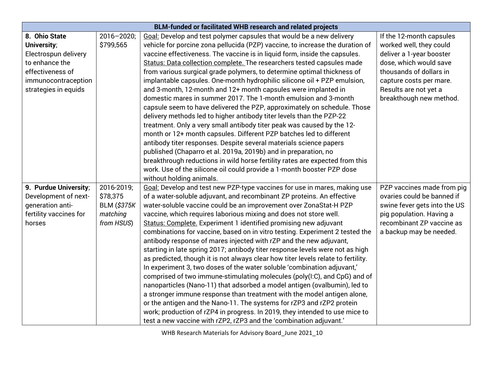| <b>BLM-funded or facilitated WHB research and related projects</b> |                    |                                                                                   |                              |  |  |  |
|--------------------------------------------------------------------|--------------------|-----------------------------------------------------------------------------------|------------------------------|--|--|--|
| 8. Ohio State                                                      | $2016 - 2020;$     | Goal: Develop and test polymer capsules that would be a new delivery              | If the 12-month capsules     |  |  |  |
| University;                                                        | \$799,565          | vehicle for porcine zona pellucida (PZP) vaccine, to increase the duration of     | worked well, they could      |  |  |  |
| Electrospun delivery                                               |                    | vaccine effectiveness. The vaccine is in liquid form, inside the capsules.        | deliver a 1-year booster     |  |  |  |
| to enhance the                                                     |                    | Status: Data collection complete. The researchers tested capsules made            | dose, which would save       |  |  |  |
| effectiveness of                                                   |                    | from various surgical grade polymers, to determine optimal thickness of           | thousands of dollars in      |  |  |  |
| immunocontraception                                                |                    | implantable capsules. One-month hydrophilic silicone oil + PZP emulsion,          | capture costs per mare.      |  |  |  |
| strategies in equids                                               |                    | and 3-month, 12-month and 12+ month capsules were implanted in                    | Results are not yet a        |  |  |  |
|                                                                    |                    | domestic mares in summer 2017. The 1-month emulsion and 3-month                   | breakthough new method.      |  |  |  |
|                                                                    |                    | capsule seem to have delivered the PZP, approximately on schedule. Those          |                              |  |  |  |
|                                                                    |                    | delivery methods led to higher antibody titer levels than the PZP-22              |                              |  |  |  |
|                                                                    |                    | treatment. Only a very small antibody titer peak was caused by the 12-            |                              |  |  |  |
|                                                                    |                    | month or 12+ month capsules. Different PZP batches led to different               |                              |  |  |  |
|                                                                    |                    | antibody titer responses. Despite several materials science papers                |                              |  |  |  |
|                                                                    |                    | published (Chaparro et al. 2019a, 2019b) and in preparation, no                   |                              |  |  |  |
|                                                                    |                    | breakthrough reductions in wild horse fertility rates are expected from this      |                              |  |  |  |
|                                                                    |                    | work. Use of the silicone oil could provide a 1-month booster PZP dose            |                              |  |  |  |
|                                                                    |                    | without holding animals.                                                          |                              |  |  |  |
| 9. Purdue University;                                              | 2016-2019;         | Goal: Develop and test new PZP-type vaccines for use in mares, making use         | PZP vaccines made from pig   |  |  |  |
| Development of next-                                               | \$78,375           | of a water-soluble adjuvant, and recombinant ZP proteins. An effective            | ovaries could be banned if   |  |  |  |
| generation anti-                                                   | <b>BLM (\$375K</b> | water-soluble vaccine could be an improvement over ZonaStat-H PZP                 | swine fever gets into the US |  |  |  |
| fertility vaccines for                                             | matching           | vaccine, which requires laborious mixing and does not store well.                 | pig population. Having a     |  |  |  |
| horses                                                             | from HSUS)         | Status: Complete. Experiment 1 identified promising new adjuvant                  | recombinant ZP vaccine as    |  |  |  |
|                                                                    |                    | combinations for vaccine, based on in vitro testing. Experiment 2 tested the      | a backup may be needed.      |  |  |  |
|                                                                    |                    | antibody response of mares injected with rZP and the new adjuvant,                |                              |  |  |  |
|                                                                    |                    | starting in late spring 2017; antibody titer response levels were not as high     |                              |  |  |  |
|                                                                    |                    | as predicted, though it is not always clear how titer levels relate to fertility. |                              |  |  |  |
|                                                                    |                    | In experiment 3, two doses of the water soluble 'combination adjuvant,'           |                              |  |  |  |
|                                                                    |                    | comprised of two immune-stimulating molecules (poly(I:C), and CpG) and of         |                              |  |  |  |
|                                                                    |                    | nanoparticles (Nano-11) that adsorbed a model antigen (ovalbumin), led to         |                              |  |  |  |
|                                                                    |                    | a stronger immune response than treatment with the model antigen alone,           |                              |  |  |  |
|                                                                    |                    | or the antigen and the Nano-11. The systems for rZP3 and rZP2 protein             |                              |  |  |  |
|                                                                    |                    | work; production of rZP4 in progress. In 2019, they intended to use mice to       |                              |  |  |  |
|                                                                    |                    | test a new vaccine with rZP2, rZP3 and the 'combination adjuvant.'                |                              |  |  |  |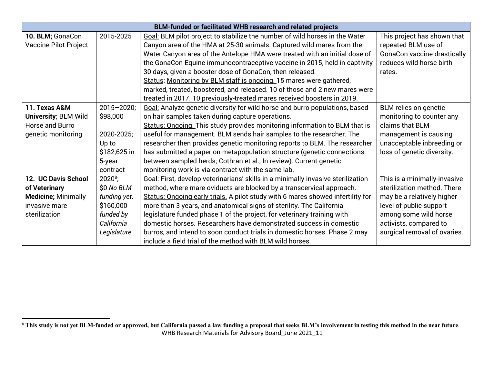|                              |                 | BLM-funded or facilitated WHB research and related projects                      |                              |
|------------------------------|-----------------|----------------------------------------------------------------------------------|------------------------------|
| 10. BLM; GonaCon             | 2015-2025       | Goal: BLM pilot project to stabilize the number of wild horses in the Water      | This project has shown that  |
| <b>Vaccine Pilot Project</b> |                 | Canyon area of the HMA at 25-30 animals. Captured wild mares from the            | repeated BLM use of          |
|                              |                 | Water Canyon area of the Antelope HMA were treated with an initial dose of       | GonaCon vaccine drastically  |
|                              |                 | the GonaCon-Equine immunocontraceptive vaccine in 2015, held in captivity        | reduces wild horse birth     |
|                              |                 | 30 days, given a booster dose of GonaCon, then released.                         | rates.                       |
|                              |                 | Status: Monitoring by BLM staff is ongoing. 15 mares were gathered,              |                              |
|                              |                 | marked, treated, boostered, and released. 10 of those and 2 new mares were       |                              |
|                              |                 | treated in 2017. 10 previously-treated mares received boosters in 2019.          |                              |
| 11. Texas A&M                | $2015 - 2020$ ; | Goal: Analyze genetic diversity for wild horse and burro populations, based      | BLM relies on genetic        |
| <b>University; BLM Wild</b>  | \$98,000        | on hair samples taken during capture operations.                                 | monitoring to counter any    |
| Horse and Burro              |                 | Status: Ongoing. This study provides monitoring information to BLM that is       | claims that BLM              |
| genetic monitoring           | 2020-2025;      | useful for management. BLM sends hair samples to the researcher. The             | management is causing        |
|                              | Up to           | researcher then provides genetic monitoring reports to BLM. The researcher       | unacceptable inbreeding or   |
|                              | \$182,625 in    | has submitted a paper on metapopulation structure (genetic connections           | loss of genetic diversity.   |
|                              | 5-year          | between sampled herds; Cothran et al., In review). Current genetic               |                              |
|                              | contract        | monitoring work is via contract with the same lab.                               |                              |
| 12. UC Davis School          | $2020^8$ ;      | Goal: First, develop veterinarians' skills in a minimally invasive sterilization | This is a minimally-invasive |
| of Veterinary                | \$0 No BLM      | method, where mare oviducts are blocked by a transcervical approach.             | sterilization method. There  |
| <b>Medicine; Minimally</b>   | funding yet.    | Status: Ongoing early trials. A pilot study with 6 mares showed infertility for  | may be a relatively higher   |
| invasive mare                | \$160,000       | more than 3 years, and anatomical signs of sterility. The California             | level of public support      |
| sterilization                | funded by       | legislature funded phase 1 of the project, for veterinary training with          | among some wild horse        |
|                              | California      | domestic horses. Researchers have demonstrated success in domestic               | activists, compared to       |
|                              | Legislature     | burros, and intend to soon conduct trials in domestic horses. Phase 2 may        | surgical removal of ovaries. |
|                              |                 | include a field trial of the method with BLM wild horses.                        |                              |

WHB Research Materials for Advisory Board\_June 2021\_11 <sup>8</sup> **This study is not yet BLM-funded or approved, but California passed a law funding a proposal that seeks BLM's involvement in testing this method in the near future**.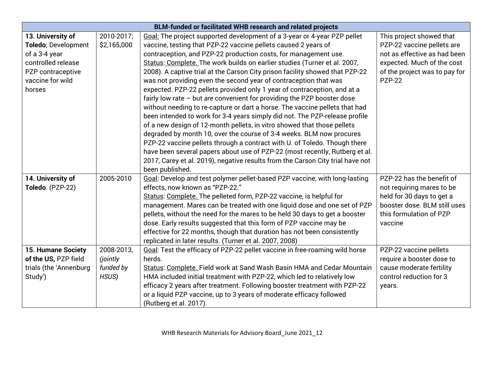|                           | <b>BLM-funded or facilitated WHB research and related projects</b> |                                                                                |                               |  |  |  |  |
|---------------------------|--------------------------------------------------------------------|--------------------------------------------------------------------------------|-------------------------------|--|--|--|--|
| 13. University of         | 2010-2017;                                                         | Goal: The project supported development of a 3-year or 4-year PZP pellet       | This project showed that      |  |  |  |  |
| Toledo; Development       | \$2,165,000                                                        | vaccine, testing that PZP-22 vaccine pellets caused 2 years of                 | PZP-22 vaccine pellets are    |  |  |  |  |
| of a 3-4 year             |                                                                    | contraception, and PZP-22 production costs, for management use.                | not as effective as had been  |  |  |  |  |
| controlled release        |                                                                    | Status: Complete. The work builds on earlier studies (Turner et al. 2007,      | expected. Much of the cost    |  |  |  |  |
| PZP contraceptive         |                                                                    | 2008). A captive trial at the Carson City prison facility showed that PZP-22   | of the project was to pay for |  |  |  |  |
| vaccine for wild          |                                                                    | was not providing even the second year of contraception that was               | <b>PZP-22</b>                 |  |  |  |  |
| horses                    |                                                                    | expected. PZP-22 pellets provided only 1 year of contraception, and at a       |                               |  |  |  |  |
|                           |                                                                    | fairly low rate - but are convenient for providing the PZP booster dose        |                               |  |  |  |  |
|                           |                                                                    | without needing to re-capture or dart a horse. The vaccine pellets that had    |                               |  |  |  |  |
|                           |                                                                    | been intended to work for 3-4 years simply did not. The PZP-release profile    |                               |  |  |  |  |
|                           |                                                                    | of a new design of 12-month pellets, in vitro showed that those pellets        |                               |  |  |  |  |
|                           |                                                                    | degraded by month 10, over the course of 3-4 weeks. BLM now procures           |                               |  |  |  |  |
|                           |                                                                    | PZP-22 vaccine pellets through a contract with U. of Toledo. Though there      |                               |  |  |  |  |
|                           |                                                                    | have been several papers about use of PZP-22 (most recently, Rutberg et al.    |                               |  |  |  |  |
|                           |                                                                    | 2017, Carey et al. 2019), negative results from the Carson City trial have not |                               |  |  |  |  |
|                           |                                                                    | been published.                                                                |                               |  |  |  |  |
| 14. University of         | 2005-2010                                                          | Goal: Develop and test polymer pellet-based PZP vaccine, with long-lasting     | PZP-22 has the benefit of     |  |  |  |  |
| Toledo. (PZP-22)          |                                                                    | effects, now known as "PZP-22."                                                | not requiring mares to be     |  |  |  |  |
|                           |                                                                    | Status: Complete. The pelleted form, PZP-22 vaccine, is helpful for            | held for 30 days to get a     |  |  |  |  |
|                           |                                                                    | management. Mares can be treated with one liquid dose and one set of PZP       | booster dose. BLM still uses  |  |  |  |  |
|                           |                                                                    | pellets, without the need for the mares to be held 30 days to get a booster    | this formulation of PZP       |  |  |  |  |
|                           |                                                                    | dose. Early results suggested that this form of PZP vaccine may be             | vaccine                       |  |  |  |  |
|                           |                                                                    | effective for 22 months, though that duration has not been consistently        |                               |  |  |  |  |
|                           |                                                                    | replicated in later results. (Turner et al. 2007, 2008)                        |                               |  |  |  |  |
| <b>15. Humane Society</b> | 2008-2013,                                                         | Goal: Test the efficacy of PZP-22 pellet vaccine in free-roaming wild horse    | PZP-22 vaccine pellets        |  |  |  |  |
| of the US, PZP field      | (jointly                                                           | herds.                                                                         | require a booster dose to     |  |  |  |  |
| trials (the 'Annenburg    | funded by                                                          | Status: Complete. Field work at Sand Wash Basin HMA and Cedar Mountain         | cause moderate fertility      |  |  |  |  |
| Study')                   | HSUS)                                                              | HMA included initial treatment with PZP-22, which led to relatively low        | control reduction for 3       |  |  |  |  |
|                           |                                                                    | efficacy 2 years after treatment. Following booster treatment with PZP-22      | years.                        |  |  |  |  |
|                           |                                                                    | or a liquid PZP vaccine, up to 3 years of moderate efficacy followed           |                               |  |  |  |  |
|                           |                                                                    | (Rutberg et al. 2017).                                                         |                               |  |  |  |  |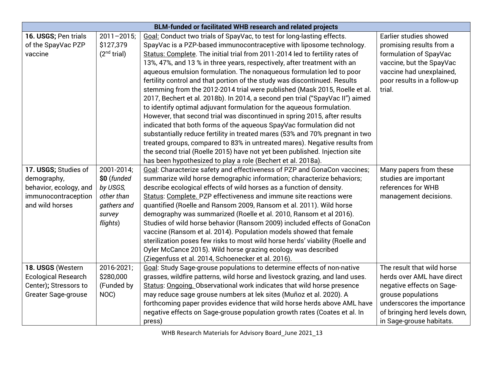| <b>BLM-funded or facilitated WHB research and related projects</b> |                         |                                                                               |                               |  |  |
|--------------------------------------------------------------------|-------------------------|-------------------------------------------------------------------------------|-------------------------------|--|--|
| 16. USGS; Pen trials                                               | $2011 - 2015$ ;         | Goal: Conduct two trials of SpayVac, to test for long-lasting effects.        | Earlier studies showed        |  |  |
| of the SpayVac PZP                                                 | \$127,379               | SpayVac is a PZP-based immunocontraceptive with liposome technology.          | promising results from a      |  |  |
| vaccine                                                            | (2 <sup>nd</sup> trial) | Status: Complete. The initial trial from 2011-2014 led to fertility rates of  | formulation of SpayVac        |  |  |
|                                                                    |                         | 13%, 47%, and 13 % in three years, respectively, after treatment with an      | vaccine, but the SpayVac      |  |  |
|                                                                    |                         | aqueous emulsion formulation. The nonaqueous formulation led to poor          | vaccine had unexplained,      |  |  |
|                                                                    |                         | fertility control and that portion of the study was discontinued. Results     | poor results in a follow-up   |  |  |
|                                                                    |                         | stemming from the 2012-2014 trial were published (Mask 2015, Roelle et al.    | trial.                        |  |  |
|                                                                    |                         | 2017, Bechert et al. 2018b). In 2014, a second pen trial ("SpayVac II") aimed |                               |  |  |
|                                                                    |                         | to identify optimal adjuvant formulation for the aqueous formulation.         |                               |  |  |
|                                                                    |                         | However, that second trial was discontinued in spring 2015, after results     |                               |  |  |
|                                                                    |                         | indicated that both forms of the aqueous SpayVac formulation did not          |                               |  |  |
|                                                                    |                         | substantially reduce fertility in treated mares (53% and 70% pregnant in two  |                               |  |  |
|                                                                    |                         | treated groups, compared to 83% in untreated mares). Negative results from    |                               |  |  |
|                                                                    |                         | the second trial (Roelle 2015) have not yet been published. Injection site    |                               |  |  |
|                                                                    |                         | has been hypothesized to play a role (Bechert et al. 2018a).                  |                               |  |  |
| 17. USGS; Studies of                                               | 2001-2014;              | Goal: Characterize safety and effectiveness of PZP and GonaCon vaccines;      | Many papers from these        |  |  |
| demography,                                                        | \$0 (funded             | summarize wild horse demographic information; characterize behaviors;         | studies are important         |  |  |
| behavior, ecology, and                                             | by USGS,                | describe ecological effects of wild horses as a function of density.          | references for WHB            |  |  |
| immunocontraception                                                | other than              | Status: Complete. PZP effectiveness and immune site reactions were            | management decisions.         |  |  |
| and wild horses                                                    | gathers and             | quantified (Roelle and Ransom 2009, Ransom et al. 2011). Wild horse           |                               |  |  |
|                                                                    | survey                  | demography was summarized (Roelle et al. 2010, Ransom et al 2016).            |                               |  |  |
|                                                                    | flights)                | Studies of wild horse behavior (Ransom 2009) included effects of GonaCon      |                               |  |  |
|                                                                    |                         | vaccine (Ransom et al. 2014). Population models showed that female            |                               |  |  |
|                                                                    |                         | sterilization poses few risks to most wild horse herds' viability (Roelle and |                               |  |  |
|                                                                    |                         | Oyler McCance 2015). Wild horse grazing ecology was described                 |                               |  |  |
|                                                                    |                         | (Ziegenfuss et al. 2014, Schoenecker et al. 2016).                            |                               |  |  |
| 18. USGS (Western                                                  | 2016-2021;              | Goal: Study Sage-grouse populations to determine effects of non-native        | The result that wild horse    |  |  |
| <b>Ecological Research</b>                                         | \$280,000               | grasses, wildfire patterns, wild horse and livestock grazing, and land uses.  | herds over AML have direct    |  |  |
| Center); Stressors to                                              | (Funded by              | Status: Ongoing. Observational work indicates that wild horse presence        | negative effects on Sage-     |  |  |
| <b>Greater Sage-grouse</b>                                         | NOC)                    | may reduce sage grouse numbers at lek sites (Muñoz et al. 2020). A            | grouse populations            |  |  |
|                                                                    |                         | forthcoming paper provides evidence that wild horse herds above AML have      | underscores the importance    |  |  |
|                                                                    |                         | negative effects on Sage-grouse population growth rates (Coates et al. In     | of bringing herd levels down, |  |  |
|                                                                    |                         | press)                                                                        | in Sage-grouse habitats.      |  |  |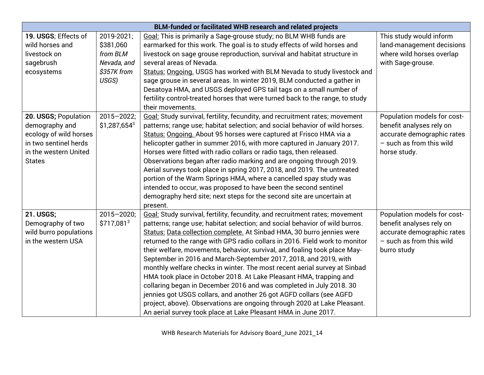| <b>BLM-funded or facilitated WHB research and related projects</b> |                |                                                                               |                             |  |  |  |
|--------------------------------------------------------------------|----------------|-------------------------------------------------------------------------------|-----------------------------|--|--|--|
| 19. USGS; Effects of                                               | 2019-2021;     | Goal: This is primarily a Sage-grouse study; no BLM WHB funds are             | This study would inform     |  |  |  |
| wild horses and                                                    | \$381,060      | earmarked for this work. The goal is to study effects of wild horses and      | land-management decisions   |  |  |  |
| livestock on                                                       | from BLM       | livestock on sage grouse reproduction, survival and habitat structure in      | where wild horses overlap   |  |  |  |
| sagebrush                                                          | Nevada, and    | several areas of Nevada.                                                      | with Sage-grouse.           |  |  |  |
| ecosystems                                                         | \$357K from    | Status: Ongoing. USGS has worked with BLM Nevada to study livestock and       |                             |  |  |  |
|                                                                    | USGS)          | sage grouse in several areas. In winter 2019, BLM conducted a gather in       |                             |  |  |  |
|                                                                    |                | Desatoya HMA, and USGS deployed GPS tail tags on a small number of            |                             |  |  |  |
|                                                                    |                | fertility control-treated horses that were turned back to the range, to study |                             |  |  |  |
|                                                                    |                | their movements.                                                              |                             |  |  |  |
| 20. USGS; Population                                               | $2015 - 2022;$ | Goal: Study survival, fertility, fecundity, and recruitment rates; movement   | Population models for cost- |  |  |  |
| demography and                                                     | $$1,287,654^3$ | patterns; range use; habitat selection; and social behavior of wild horses.   | benefit analyses rely on    |  |  |  |
| ecology of wild horses                                             |                | Status: Ongoing. About 95 horses were captured at Frisco HMA via a            | accurate demographic rates  |  |  |  |
| in two sentinel herds                                              |                | helicopter gather in summer 2016, with more captured in January 2017.         | $-$ such as from this wild  |  |  |  |
| in the western United                                              |                | Horses were fitted with radio collars or radio tags, then released.           | horse study.                |  |  |  |
| <b>States</b>                                                      |                | Observations began after radio marking and are ongoing through 2019.          |                             |  |  |  |
|                                                                    |                | Aerial surveys took place in spring 2017, 2018, and 2019. The untreated       |                             |  |  |  |
|                                                                    |                | portion of the Warm Springs HMA, where a cancelled spay study was             |                             |  |  |  |
|                                                                    |                | intended to occur, was proposed to have been the second sentinel              |                             |  |  |  |
|                                                                    |                | demography herd site; next steps for the second site are uncertain at         |                             |  |  |  |
|                                                                    |                | present.                                                                      |                             |  |  |  |
| <b>21. USGS;</b>                                                   | $2015 - 2020;$ | Goal: Study survival, fertility, fecundity, and recruitment rates; movement   | Population models for cost- |  |  |  |
| Demography of two                                                  | $$717,081^3$   | patterns; range use; habitat selection; and social behavior of wild burros.   | benefit analyses rely on    |  |  |  |
| wild burro populations                                             |                | Status: Data collection complete. At Sinbad HMA, 30 burro jennies were        | accurate demographic rates  |  |  |  |
| in the western USA                                                 |                | returned to the range with GPS radio collars in 2016. Field work to monitor   | $-$ such as from this wild  |  |  |  |
|                                                                    |                | their welfare, movements, behavior, survival, and foaling took place May-     | burro study                 |  |  |  |
|                                                                    |                | September in 2016 and March-September 2017, 2018, and 2019, with              |                             |  |  |  |
|                                                                    |                | monthly welfare checks in winter. The most recent aerial survey at Sinbad     |                             |  |  |  |
|                                                                    |                | HMA took place in October 2018. At Lake Pleasant HMA, trapping and            |                             |  |  |  |
|                                                                    |                | collaring began in December 2016 and was completed in July 2018. 30           |                             |  |  |  |
|                                                                    |                | jennies got USGS collars, and another 26 got AGFD collars (see AGFD           |                             |  |  |  |
|                                                                    |                | project, above). Observations are ongoing through 2020 at Lake Pleasant.      |                             |  |  |  |
|                                                                    |                | An aerial survey took place at Lake Pleasant HMA in June 2017.                |                             |  |  |  |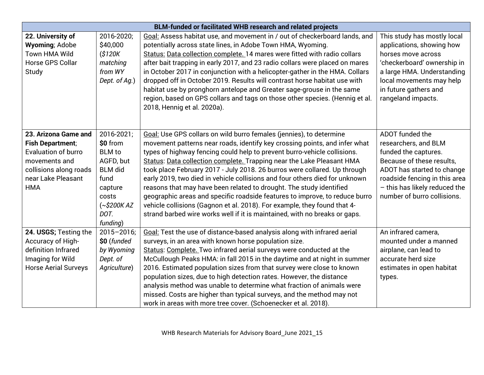|                             |                 | <b>BLM-funded or facilitated WHB research and related projects</b>           |                               |
|-----------------------------|-----------------|------------------------------------------------------------------------------|-------------------------------|
| 22. University of           | 2016-2020;      | Goal: Assess habitat use, and movement in / out of checkerboard lands, and   | This study has mostly local   |
| <b>Wyoming</b> ; Adobe      | \$40,000        | potentially across state lines, in Adobe Town HMA, Wyoming.                  | applications, showing how     |
| <b>Town HMA Wild</b>        | \$120K          | Status: Data collection complete. 14 mares were fitted with radio collars    | horses move across            |
| <b>Horse GPS Collar</b>     | matching        | after bait trapping in early 2017, and 23 radio collars were placed on mares | 'checkerboard' ownership in   |
| Study                       | from WY         | in October 2017 in conjunction with a helicopter-gather in the HMA. Collars  | a large HMA. Understanding    |
|                             | Dept. of Aq.)   | dropped off in October 2019. Results will contrast horse habitat use with    | local movements may help      |
|                             |                 | habitat use by pronghorn antelope and Greater sage-grouse in the same        | in future gathers and         |
|                             |                 | region, based on GPS collars and tags on those other species. (Hennig et al. | rangeland impacts.            |
|                             |                 | 2018, Hennig et al. 2020a).                                                  |                               |
|                             |                 |                                                                              |                               |
|                             |                 |                                                                              |                               |
| 23. Arizona Game and        | 2016-2021;      | Goal: Use GPS collars on wild burro females (jennies), to determine          | ADOT funded the               |
| <b>Fish Department;</b>     | \$0 from        | movement patterns near roads, identify key crossing points, and infer what   | researchers, and BLM          |
| <b>Evaluation of burro</b>  | <b>BLM</b> to   | types of highway fencing could help to prevent burro-vehicle collisions.     | funded the captures.          |
| movements and               | AGFD, but       | Status: Data collection complete. Trapping near the Lake Pleasant HMA        | Because of these results,     |
| collisions along roads      | <b>BLM</b> did  | took place February 2017 - July 2018. 26 burros were collared. Up through    | ADOT has started to change    |
| near Lake Pleasant          | fund            | early 2019, two died in vehicle collisions and four others died for unknown  | roadside fencing in this area |
| <b>HMA</b>                  | capture         | reasons that may have been related to drought. The study identified          | - this has likely reduced the |
|                             | costs           | geographic areas and specific roadside features to improve, to reduce burro  | number of burro collisions.   |
|                             | $(*$200K AZ"$   | vehicle collisions (Gagnon et al. 2018). For example, they found that 4-     |                               |
|                             | DOT.            | strand barbed wire works well if it is maintained, with no breaks or gaps.   |                               |
|                             | funding)        |                                                                              |                               |
| 24. USGS; Testing the       | $2015 - 2016$ ; | Goal: Test the use of distance-based analysis along with infrared aerial     | An infrared camera,           |
| Accuracy of High-           | \$0 (funded     | surveys, in an area with known horse population size.                        | mounted under a manned        |
| definition Infrared         | by Wyoming      | Status: Complete. Two infrared aerial surveys were conducted at the          | airplane, can lead to         |
| Imaging for Wild            | Dept. of        | McCullough Peaks HMA: in fall 2015 in the daytime and at night in summer     | accurate herd size            |
| <b>Horse Aerial Surveys</b> | Agriculture)    | 2016. Estimated population sizes from that survey were close to known        | estimates in open habitat     |
|                             |                 | population sizes, due to high detection rates. However, the distance         | types.                        |
|                             |                 | analysis method was unable to determine what fraction of animals were        |                               |
|                             |                 | missed. Costs are higher than typical surveys, and the method may not        |                               |
|                             |                 | work in areas with more tree cover. (Schoenecker et al. 2018).               |                               |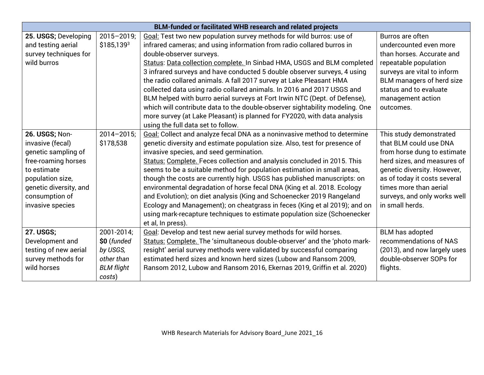|                        | BLM-funded or facilitated WHB research and related projects |                                                                              |                              |  |  |  |  |
|------------------------|-------------------------------------------------------------|------------------------------------------------------------------------------|------------------------------|--|--|--|--|
| 25. USGS; Developing   | $2015 - 2019$ ;                                             | Goal: Test two new population survey methods for wild burros: use of         | Burros are often             |  |  |  |  |
| and testing aerial     | $$185,139^{3}$                                              | infrared cameras; and using information from radio collared burros in        | undercounted even more       |  |  |  |  |
| survey techniques for  |                                                             | double-observer surveys.                                                     | than horses. Accurate and    |  |  |  |  |
| wild burros            |                                                             | Status: Data collection complete. In Sinbad HMA, USGS and BLM completed      | repeatable population        |  |  |  |  |
|                        |                                                             | 3 infrared surveys and have conducted 5 double observer surveys, 4 using     | surveys are vital to inform  |  |  |  |  |
|                        |                                                             | the radio collared animals. A fall 2017 survey at Lake Pleasant HMA          | BLM managers of herd size    |  |  |  |  |
|                        |                                                             | collected data using radio collared animals. In 2016 and 2017 USGS and       | status and to evaluate       |  |  |  |  |
|                        |                                                             | BLM helped with burro aerial surveys at Fort Irwin NTC (Dept. of Defense),   | management action            |  |  |  |  |
|                        |                                                             | which will contribute data to the double-observer sightability modeling. One | outcomes.                    |  |  |  |  |
|                        |                                                             | more survey (at Lake Pleasant) is planned for FY2020, with data analysis     |                              |  |  |  |  |
|                        |                                                             | using the full data set to follow.                                           |                              |  |  |  |  |
| 26. USGS; Non-         | $2014 - 2015$ ;                                             | Goal: Collect and analyze fecal DNA as a noninvasive method to determine     | This study demonstrated      |  |  |  |  |
| invasive (fecal)       | \$178,538                                                   | genetic diversity and estimate population size. Also, test for presence of   | that BLM could use DNA       |  |  |  |  |
| genetic sampling of    |                                                             | invasive species, and seed germination.                                      | from horse dung to estimate  |  |  |  |  |
| free-roaming horses    |                                                             | Status: Complete. Feces collection and analysis concluded in 2015. This      | herd sizes, and measures of  |  |  |  |  |
| to estimate            |                                                             | seems to be a suitable method for population estimation in small areas,      | genetic diversity. However,  |  |  |  |  |
| population size,       |                                                             | though the costs are currently high. USGS has published manuscripts: on      | as of today it costs several |  |  |  |  |
| genetic diversity, and |                                                             | environmental degradation of horse fecal DNA (King et al. 2018. Ecology      | times more than aerial       |  |  |  |  |
| consumption of         |                                                             | and Evolution); on diet analysis (King and Schoenecker 2019 Rangeland        | surveys, and only works well |  |  |  |  |
| invasive species       |                                                             | Ecology and Management); on cheatgrass in feces (King et al 2019); and on    | in small herds.              |  |  |  |  |
|                        |                                                             | using mark-recapture techniques to estimate population size (Schoenecker     |                              |  |  |  |  |
|                        |                                                             | et al, In press).                                                            |                              |  |  |  |  |
| <b>27. USGS;</b>       | 2001-2014;                                                  | Goal: Develop and test new aerial survey methods for wild horses.            | <b>BLM</b> has adopted       |  |  |  |  |
| Development and        | \$0 (funded                                                 | Status: Complete. The 'simultaneous double-observer' and the 'photo mark-    | recommendations of NAS       |  |  |  |  |
| testing of new aerial  | by USGS,                                                    | resight' aerial survey methods were validated by successful comparing        | (2013), and now largely uses |  |  |  |  |
| survey methods for     | other than                                                  | estimated herd sizes and known herd sizes (Lubow and Ransom 2009,            | double-observer SOPs for     |  |  |  |  |
| wild horses            | <b>BLM</b> flight                                           | Ransom 2012, Lubow and Ransom 2016, Ekernas 2019, Griffin et al. 2020)       | flights.                     |  |  |  |  |
|                        | costs)                                                      |                                                                              |                              |  |  |  |  |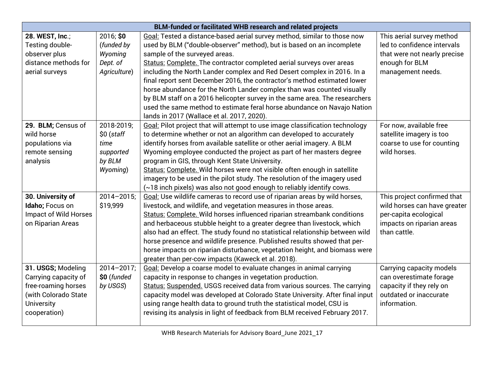| BLM-funded or facilitated WHB research and related projects                                                                    |                                                                      |                                                                                                                                                                                                                                                                                                                                                                                                                                                                                                                                                                                                                                                                               |                                                                                                                                   |  |  |  |
|--------------------------------------------------------------------------------------------------------------------------------|----------------------------------------------------------------------|-------------------------------------------------------------------------------------------------------------------------------------------------------------------------------------------------------------------------------------------------------------------------------------------------------------------------------------------------------------------------------------------------------------------------------------------------------------------------------------------------------------------------------------------------------------------------------------------------------------------------------------------------------------------------------|-----------------------------------------------------------------------------------------------------------------------------------|--|--|--|
| 28. WEST, Inc.;<br>Testing double-<br>observer plus<br>distance methods for<br>aerial surveys                                  | 2016; \$0<br>(funded by<br>Wyoming<br>Dept. of<br>Agriculture)       | Goal: Tested a distance-based aerial survey method, similar to those now<br>used by BLM ("double-observer" method), but is based on an incomplete<br>sample of the surveyed areas.<br>Status: Complete. The contractor completed aerial surveys over areas<br>including the North Lander complex and Red Desert complex in 2016. In a<br>final report sent December 2016, the contractor's method estimated lower<br>horse abundance for the North Lander complex than was counted visually<br>by BLM staff on a 2016 helicopter survey in the same area. The researchers                                                                                                     | This aerial survey method<br>led to confidence intervals<br>that were not nearly precise<br>enough for BLM<br>management needs.   |  |  |  |
| 29. BLM; Census of<br>wild horse<br>populations via<br>remote sensing<br>analysis                                              | 2018-2019;<br>$$0$ (staff<br>time<br>supported<br>by BLM<br>Wyoming) | used the same method to estimate feral horse abundance on Navajo Nation<br>lands in 2017 (Wallace et al. 2017, 2020).<br>Goal: Pilot project that will attempt to use image classification technology<br>to determine whether or not an algorithm can developed to accurately<br>identify horses from available satellite or other aerial imagery. A BLM<br>Wyoming employee conducted the project as part of her masters degree<br>program in GIS, through Kent State University.<br>Status: Complete. Wild horses were not visible often enough in satellite<br>imagery to be used in the pilot study. The resolution of the imagery used                                   | For now, available free<br>satellite imagery is too<br>coarse to use for counting<br>wild horses.                                 |  |  |  |
| 30. University of<br>Idaho; Focus on<br><b>Impact of Wild Horses</b><br>on Riparian Areas                                      | $2014 - 2015$ ;<br>\$19,999                                          | (~18 inch pixels) was also not good enough to reliably identify cows.<br>Goal: Use wildlife cameras to record use of riparian areas by wild horses,<br>livestock, and wildlife, and vegetation measures in those areas.<br>Status: Complete. Wild horses influenced riparian streambank conditions<br>and herbaceous stubble height to a greater degree than livestock, which<br>also had an effect. The study found no statistical relationship between wild<br>horse presence and wildlife presence. Published results showed that per-<br>horse impacts on riparian disturbance, vegetation height, and biomass were<br>greater than per-cow impacts (Kaweck et al. 2018). | This project confirmed that<br>wild horses can have greater<br>per-capita ecological<br>impacts on riparian areas<br>than cattle. |  |  |  |
| 31. USGS; Modeling<br>Carrying capacity of<br>free-roaming horses<br>(with Colorado State<br><b>University</b><br>cooperation) | $2014 - 2017$ ;<br>\$0 (funded<br>by USGS)                           | Goal: Develop a coarse model to evaluate changes in animal carrying<br>capacity in response to changes in vegetation production.<br>Status: Suspended. USGS received data from various sources. The carrying<br>capacity model was developed at Colorado State University. After final input<br>using range health data to ground truth the statistical model, CSU is<br>revising its analysis in light of feedback from BLM received February 2017.                                                                                                                                                                                                                          | Carrying capacity models<br>can overestimate forage<br>capacity if they rely on<br>outdated or inaccurate<br>information.         |  |  |  |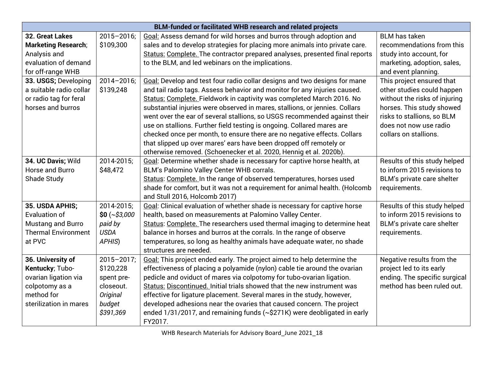| <b>BLM-funded or facilitated WHB research and related projects</b> |                 |                                                                             |                               |
|--------------------------------------------------------------------|-----------------|-----------------------------------------------------------------------------|-------------------------------|
| <b>32. Great Lakes</b>                                             | $2015 - 2016$ ; | Goal: Assess demand for wild horses and burros through adoption and         | <b>BLM</b> has taken          |
| <b>Marketing Research;</b>                                         | \$109,300       | sales and to develop strategies for placing more animals into private care. | recommendations from this     |
| Analysis and                                                       |                 | Status: Complete. The contractor prepared analyses, presented final reports | study into account, for       |
| evaluation of demand                                               |                 | to the BLM, and led webinars on the implications.                           | marketing, adoption, sales,   |
| for off-range WHB                                                  |                 |                                                                             | and event planning.           |
| 33. USGS; Developing                                               | $2014 - 2016$ ; | Goal: Develop and test four radio collar designs and two designs for mane   | This project ensured that     |
| a suitable radio collar                                            | \$139,248       | and tail radio tags. Assess behavior and monitor for any injuries caused.   | other studies could happen    |
| or radio tag for feral                                             |                 | Status: Complete. Fieldwork in captivity was completed March 2016. No       | without the risks of injuring |
| horses and burros                                                  |                 | substantial injuries were observed in mares, stallions, or jennies. Collars | horses. This study showed     |
|                                                                    |                 | went over the ear of several stallions, so USGS recommended against their   | risks to stallions, so BLM    |
|                                                                    |                 | use on stallions. Further field testing is ongoing. Collared mares are      | does not now use radio        |
|                                                                    |                 | checked once per month, to ensure there are no negative effects. Collars    | collars on stallions.         |
|                                                                    |                 | that slipped up over mares' ears have been dropped off remotely or          |                               |
|                                                                    |                 | otherwise removed. (Schoenecker et al. 2020, Hennig et al. 2020b).          |                               |
| 34. UC Davis; Wild                                                 | 2014-2015;      | Goal: Determine whether shade is necessary for captive horse health, at     | Results of this study helped  |
| Horse and Burro                                                    | \$48,472        | BLM's Palomino Valley Center WHB corrals.                                   | to inform 2015 revisions to   |
| Shade Study                                                        |                 | Status: Complete. In the range of observed temperatures, horses used        | BLM's private care shelter    |
|                                                                    |                 | shade for comfort, but it was not a requirement for animal health. (Holcomb | requirements.                 |
|                                                                    |                 | and Stull 2016, Holcomb 2017)                                               |                               |
| 35. USDA APHIS;                                                    | 2014-2015;      | Goal: Clinical evaluation of whether shade is necessary for captive horse   | Results of this study helped  |
| <b>Evaluation of</b>                                               | \$0 (~\$3,000   | health, based on measurements at Palomino Valley Center.                    | to inform 2015 revisions to   |
| <b>Mustang and Burro</b>                                           | paid by         | Status: Complete. The researchers used thermal imaging to determine heat    | BLM's private care shelter    |
| <b>Thermal Environment</b>                                         | <b>USDA</b>     | balance in horses and burros at the corrals. In the range of observe        | requirements.                 |
| at PVC                                                             | APHIS)          | temperatures, so long as healthy animals have adequate water, no shade      |                               |
|                                                                    |                 | structures are needed.                                                      |                               |
| 36. University of                                                  | $2015 - 2017$ ; | Goal: This project ended early. The project aimed to help determine the     | Negative results from the     |
| Kentucky; Tubo-                                                    | \$120,228       | effectiveness of placing a polyamide (nylon) cable tie around the ovarian   | project led to its early      |
| ovarian ligation via                                               | spent pre-      | pedicle and oviduct of mares via colpotomy for tubo-ovarian ligation.       | ending. The specific surgical |
| colpotomy as a                                                     | closeout.       | Status: Discontinued. Initial trials showed that the new instrument was     | method has been ruled out.    |
| method for                                                         | Original        | effective for ligature placement. Several mares in the study, however,      |                               |
| sterilization in mares                                             | budget          | developed adhesions near the ovaries that caused concern. The project       |                               |
|                                                                    | \$391,369       | ended 1/31/2017, and remaining funds (~\$271K) were deobligated in early    |                               |
|                                                                    |                 | FY2017.                                                                     |                               |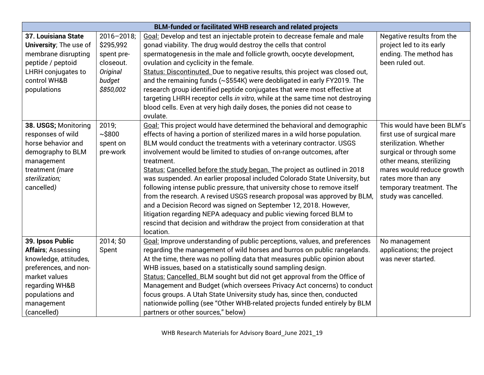| <b>BLM-funded or facilitated WHB research and related projects</b> |                 |                                                                               |                            |
|--------------------------------------------------------------------|-----------------|-------------------------------------------------------------------------------|----------------------------|
| 37. Louisiana State                                                | $2016 - 2018$ ; | Goal: Develop and test an injectable protein to decrease female and male      | Negative results from the  |
| University; The use of                                             | \$295,992       | gonad viability. The drug would destroy the cells that control                | project led to its early   |
| membrane disrupting                                                | spent pre-      | spermatogenesis in the male and follicle growth, oocyte development,          | ending. The method has     |
| peptide / peptoid                                                  | closeout.       | ovulation and cyclicity in the female.                                        | been ruled out.            |
| <b>LHRH</b> conjugates to                                          | Original        | Status: Discontinuted. Due to negative results, this project was closed out,  |                            |
| control WH&B                                                       | budget          | and the remaining funds (~\$554K) were deobligated in early FY2019. The       |                            |
| populations                                                        | \$850,002       | research group identified peptide conjugates that were most effective at      |                            |
|                                                                    |                 | targeting LHRH receptor cells in vitro, while at the same time not destroying |                            |
|                                                                    |                 | blood cells. Even at very high daily doses, the ponies did not cease to       |                            |
|                                                                    |                 | ovulate.                                                                      |                            |
| 38. USGS; Monitoring                                               | 2019;           | Goal: This project would have determined the behavioral and demographic       | This would have been BLM's |
| responses of wild                                                  | ~100            | effects of having a portion of sterilized mares in a wild horse population.   | first use of surgical mare |
| horse behavior and                                                 | spent on        | BLM would conduct the treatments with a veterinary contractor. USGS           | sterilization. Whether     |
| demography to BLM                                                  | pre-work        | involvement would be limited to studies of on-range outcomes, after           | surgical or through some   |
| management                                                         |                 | treatment.                                                                    | other means, sterilizing   |
| treatment (mare                                                    |                 | Status: Cancelled before the study began. The project as outlined in 2018     | mares would reduce growth  |
| sterilization;                                                     |                 | was suspended. An earlier proposal included Colorado State University, but    | rates more than any        |
| cancelled)                                                         |                 | following intense public pressure, that university chose to remove itself     | temporary treatment. The   |
|                                                                    |                 | from the research. A revised USGS research proposal was approved by BLM,      | study was cancelled.       |
|                                                                    |                 | and a Decision Record was signed on September 12, 2018. However,              |                            |
|                                                                    |                 | litigation regarding NEPA adequacy and public viewing forced BLM to           |                            |
|                                                                    |                 | rescind that decision and withdraw the project from consideration at that     |                            |
|                                                                    |                 | location.                                                                     |                            |
| 39. Ipsos Public                                                   | 2014; \$0       | Goal: Improve understanding of public perceptions, values, and preferences    | No management              |
| <b>Affairs</b> ; Assessing                                         | Spent           | regarding the management of wild horses and burros on public rangelands.      | applications; the project  |
| knowledge, attitudes,                                              |                 | At the time, there was no polling data that measures public opinion about     | was never started.         |
| preferences, and non-                                              |                 | WHB issues, based on a statistically sound sampling design.                   |                            |
| market values                                                      |                 | Status: Cancelled. BLM sought but did not get approval from the Office of     |                            |
| regarding WH&B                                                     |                 | Management and Budget (which oversees Privacy Act concerns) to conduct        |                            |
| populations and                                                    |                 | focus groups. A Utah State University study has, since then, conducted        |                            |
| management                                                         |                 | nationwide polling (see "Other WHB-related projects funded entirely by BLM    |                            |
| (cancelled)                                                        |                 | partners or other sources," below)                                            |                            |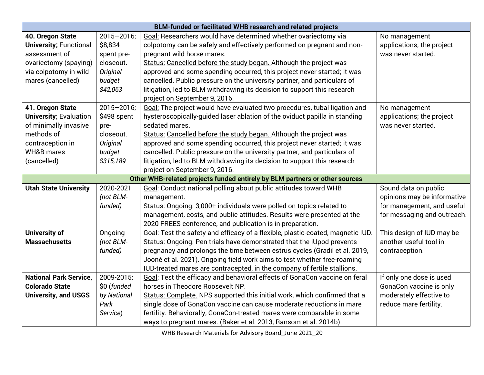| BLM-funded or facilitated WHB research and related projects |                 |                                                                                 |                             |  |
|-------------------------------------------------------------|-----------------|---------------------------------------------------------------------------------|-----------------------------|--|
| 40. Oregon State                                            | $2015 - 2016$ ; | Goal: Researchers would have determined whether ovariectomy via                 | No management               |  |
| <b>University; Functional</b>                               | \$8,834         | colpotomy can be safely and effectively performed on pregnant and non-          | applications; the project   |  |
| assessment of                                               | spent pre-      | pregnant wild horse mares.                                                      | was never started.          |  |
| ovariectomy (spaying)                                       | closeout.       | Status: Cancelled before the study began. Although the project was              |                             |  |
| via colpotomy in wild                                       | Original        | approved and some spending occurred, this project never started; it was         |                             |  |
| mares (cancelled)                                           | budget          | cancelled. Public pressure on the university partner, and particulars of        |                             |  |
|                                                             | \$42,063        | litigation, led to BLM withdrawing its decision to support this research        |                             |  |
|                                                             |                 | project on September 9, 2016.                                                   |                             |  |
| 41. Oregon State                                            | $2015 - 2016$ ; | Goal: The project would have evaluated two procedures, tubal ligation and       | No management               |  |
| <b>University; Evaluation</b>                               | \$498 spent     | hysteroscopically-guided laser ablation of the oviduct papilla in standing      | applications; the project   |  |
| of minimally invasive                                       | pre-            | sedated mares.                                                                  | was never started.          |  |
| methods of                                                  | closeout.       | Status: Cancelled before the study began. Although the project was              |                             |  |
| contraception in                                            | Original        | approved and some spending occurred, this project never started; it was         |                             |  |
| <b>WH&amp;B mares</b>                                       | budget          | cancelled. Public pressure on the university partner, and particulars of        |                             |  |
| (cancelled)                                                 | \$315,189       | litigation, led to BLM withdrawing its decision to support this research        |                             |  |
|                                                             |                 | project on September 9, 2016.                                                   |                             |  |
|                                                             |                 | Other WHB-related projects funded entirely by BLM partners or other sources     |                             |  |
| <b>Utah State University</b>                                | 2020-2021       | Goal: Conduct national polling about public attitudes toward WHB                | Sound data on public        |  |
|                                                             | (not BLM-       | management.                                                                     | opinions may be informative |  |
|                                                             | funded)         | Status: Ongoing. 3,000+ individuals were polled on topics related to            | for management, and useful  |  |
|                                                             |                 | management, costs, and public attitudes. Results were presented at the          | for messaging and outreach. |  |
|                                                             |                 | 2020 FREES conference, and publication is in preparation.                       |                             |  |
| <b>University of</b>                                        | Ongoing         | Goal: Test the safety and efficacy of a flexible, plastic-coated, magnetic IUD. | This design of IUD may be   |  |
| <b>Massachusetts</b>                                        | (not BLM-       | Status: Ongoing. Pen trials have demonstrated that the iUpod prevents           | another useful tool in      |  |
|                                                             | funded)         | pregnancy and prolongs the time between estrus cycles (Gradil et al. 2019,      | contraception.              |  |
|                                                             |                 | Joonè et al. 2021). Ongoing field work aims to test whether free-roaming        |                             |  |
|                                                             |                 | IUD-treated mares are contracepted, in the company of fertile stallions.        |                             |  |
| <b>National Park Service,</b>                               | 2009-2015;      | Goal: Test the efficacy and behavioral effects of GonaCon vaccine on feral      | If only one dose is used    |  |
| <b>Colorado State</b>                                       | \$0 (funded     | horses in Theodore Roosevelt NP.                                                | GonaCon vaccine is only     |  |
| <b>University, and USGS</b>                                 | by National     | Status: Complete. NPS supported this initial work, which confirmed that a       | moderately effective to     |  |
|                                                             | Park            | single dose of GonaCon vaccine can cause moderate reductions in mare            | reduce mare fertility.      |  |
|                                                             | Service)        | fertility. Behaviorally, GonaCon-treated mares were comparable in some          |                             |  |
|                                                             |                 | ways to pregnant mares. (Baker et al. 2013, Ransom et al. 2014b)                |                             |  |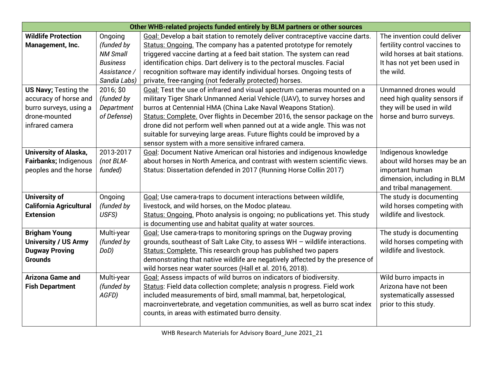| Other WHB-related projects funded entirely by BLM partners or other sources |                 |                                                                               |                               |
|-----------------------------------------------------------------------------|-----------------|-------------------------------------------------------------------------------|-------------------------------|
| <b>Wildlife Protection</b>                                                  | Ongoing         | Goal: Develop a bait station to remotely deliver contraceptive vaccine darts. | The invention could deliver   |
| Management, Inc.                                                            | (funded by      | Status: Ongoing. The company has a patented prototype for remotely            | fertility control vaccines to |
|                                                                             | <b>NM Small</b> | triggered vaccine darting at a feed bait station. The system can read         | wild horses at bait stations. |
|                                                                             | <b>Business</b> | identification chips. Dart delivery is to the pectoral muscles. Facial        | It has not yet been used in   |
|                                                                             | Assistance /    | recognition software may identify individual horses. Ongoing tests of         | the wild.                     |
|                                                                             | Sandia Labs)    | private, free-ranging (not federally protected) horses.                       |                               |
| <b>US Navy; Testing the</b>                                                 | 2016; \$0       | Goal: Test the use of infrared and visual spectrum cameras mounted on a       | Unmanned drones would         |
| accuracy of horse and                                                       | (funded by      | military Tiger Shark Unmanned Aerial Vehicle (UAV), to survey horses and      | need high quality sensors if  |
| burro surveys, using a                                                      | Department      | burros at Centennial HMA (China Lake Naval Weapons Station).                  | they will be used in wild     |
| drone-mounted                                                               | of Defense)     | Status: Complete. Over flights in December 2016, the sensor package on the    | horse and burro surveys.      |
| infrared camera                                                             |                 | drone did not perform well when panned out at a wide angle. This was not      |                               |
|                                                                             |                 | suitable for surveying large areas. Future flights could be improved by a     |                               |
|                                                                             |                 | sensor system with a more sensitive infrared camera.                          |                               |
| <b>University of Alaska,</b>                                                | 2013-2017       | Goal: Document Native American oral histories and indigenous knowledge        | Indigenous knowledge          |
| Fairbanks; Indigenous                                                       | (not BLM-       | about horses in North America, and contrast with western scientific views.    | about wild horses may be an   |
| peoples and the horse                                                       | funded)         | Status: Dissertation defended in 2017 (Running Horse Collin 2017)             | important human               |
|                                                                             |                 |                                                                               | dimension, including in BLM   |
|                                                                             |                 |                                                                               | and tribal management.        |
| <b>University of</b>                                                        | Ongoing         | Goal: Use camera-traps to document interactions between wildlife,             | The study is documenting      |
| <b>California Agricultural</b>                                              | (funded by      | livestock, and wild horses, on the Modoc plateau.                             | wild horses competing with    |
| <b>Extension</b>                                                            | USFS)           | Status: Ongoing. Photo analysis is ongoing; no publications yet. This study   | wildlife and livestock.       |
|                                                                             |                 | is documenting use and habitat quality at water sources.                      |                               |
| <b>Brigham Young</b>                                                        | Multi-year      | Goal: Use camera-traps to monitoring springs on the Dugway proving            | The study is documenting      |
| <b>University / US Army</b>                                                 | (funded by      | grounds, southeast of Salt Lake City, to assess WH - wildlife interactions.   | wild horses competing with    |
| <b>Dugway Proving</b>                                                       | DoD)            | Status: Complete. This research group has published two papers                | wildlife and livestock.       |
| <b>Grounds</b>                                                              |                 | demonstrating that native wildlife are negatively affected by the presence of |                               |
|                                                                             |                 | wild horses near water sources (Hall et al. 2016, 2018).                      |                               |
| <b>Arizona Game and</b>                                                     | Multi-year      | Goal: Assess impacts of wild burros on indicators of biodiversity.            | Wild burro impacts in         |
| <b>Fish Department</b>                                                      | (funded by      | Status: Field data collection complete; analysis n progress. Field work       | Arizona have not been         |
|                                                                             | AGFD)           | included measurements of bird, small mammal, bat, herpetological,             | systematically assessed       |
|                                                                             |                 | macroinvertebrate, and vegetation communities, as well as burro scat index    | prior to this study.          |
|                                                                             |                 | counts, in areas with estimated burro density.                                |                               |
|                                                                             |                 |                                                                               |                               |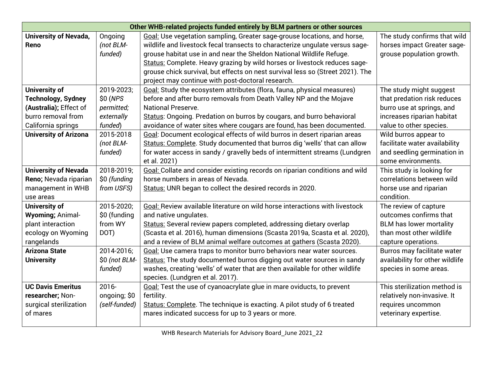| Other WHB-related projects funded entirely by BLM partners or other sources |               |                                                                                |                                 |
|-----------------------------------------------------------------------------|---------------|--------------------------------------------------------------------------------|---------------------------------|
| <b>University of Nevada,</b>                                                | Ongoing       | Goal: Use vegetation sampling, Greater sage-grouse locations, and horse,       | The study confirms that wild    |
| Reno                                                                        | (not BLM-     | wildlife and livestock fecal transects to characterize ungulate versus sage-   | horses impact Greater sage-     |
|                                                                             | funded)       | grouse habitat use in and near the Sheldon National Wildlife Refuge.           | grouse population growth.       |
|                                                                             |               | Status: Complete. Heavy grazing by wild horses or livestock reduces sage-      |                                 |
|                                                                             |               | grouse chick survival, but effects on nest survival less so (Street 2021). The |                                 |
|                                                                             |               | project may continue with post-doctoral research.                              |                                 |
| <b>University of</b>                                                        | 2019-2023;    | Goal: Study the ecosystem attributes (flora, fauna, physical measures)         | The study might suggest         |
| <b>Technology, Sydney</b>                                                   | \$0 (NPS      | before and after burro removals from Death Valley NP and the Mojave            | that predation risk reduces     |
| (Australia); Effect of                                                      | permitted;    | <b>National Preserve.</b>                                                      | burro use at springs, and       |
| burro removal from                                                          | externally    | Status: Ongoing. Predation on burros by cougars, and burro behavioral          | increases riparian habitat      |
| California springs                                                          | funded)       | avoidance of water sites where cougars are found, has been documented.         | value to other species.         |
| <b>University of Arizona</b>                                                | 2015-2018     | Goal: Document ecological effects of wild burros in desert riparian areas      | Wild burros appear to           |
|                                                                             | (not BLM-     | Status: Complete. Study documented that burros dig 'wells' that can allow      | facilitate water availability   |
|                                                                             | funded)       | for water access in sandy / gravelly beds of intermittent streams (Lundgren    | and seedling germination in     |
|                                                                             |               | et al. 2021)                                                                   | some environments.              |
| <b>University of Nevada</b>                                                 | 2018-2019;    | Goal: Collate and consider existing records on riparian conditions and wild    | This study is looking for       |
| Reno; Nevada riparian                                                       | \$0 (funding  | horse numbers in areas of Nevada.                                              | correlations between wild       |
| management in WHB                                                           | from USFS)    | Status: UNR began to collect the desired records in 2020.                      | horse use and riparian          |
| use areas                                                                   |               |                                                                                | condition.                      |
| University of                                                               | 2015-2020;    | Goal: Review available literature on wild horse interactions with livestock    | The review of capture           |
| <b>Wyoming; Animal-</b>                                                     | \$0 (funding  | and native ungulates.                                                          | outcomes confirms that          |
| plant interaction                                                           | from WY       | Status: Several review papers completed, addressing dietary overlap            | <b>BLM</b> has lower mortality  |
| ecology on Wyoming                                                          | DOT)          | (Scasta et al. 2016), human dimensions (Scasta 2019a, Scasta et al. 2020),     | than most other wildlife        |
| rangelands                                                                  |               | and a review of BLM animal welfare outcomes at gathers (Scasta 2020).          | capture operations.             |
| <b>Arizona State</b>                                                        | 2014-2016;    | Goal: Use camera traps to monitor burro behaviors near water sources.          | Burros may facilitate water     |
| <b>University</b>                                                           | \$0 (not BLM- | Status: The study documented burros digging out water sources in sandy         | availability for other wildlife |
|                                                                             | funded)       | washes, creating 'wells' of water that are then available for other wildlife   | species in some areas.          |
|                                                                             |               | species. (Lundgren et al. 2017).                                               |                                 |
| <b>UC Davis Emeritus</b>                                                    | $2016 -$      | Goal: Test the use of cyanoacrylate glue in mare oviducts, to prevent          | This sterilization method is    |
| researcher; Non-                                                            | ongoing; \$0  | fertility.                                                                     | relatively non-invasive. It     |
| surgical sterilization                                                      | (self-funded) | Status: Complete. The technique is exacting. A pilot study of 6 treated        | requires uncommon               |
| of mares                                                                    |               | mares indicated success for up to 3 years or more.                             | veterinary expertise.           |
|                                                                             |               |                                                                                |                                 |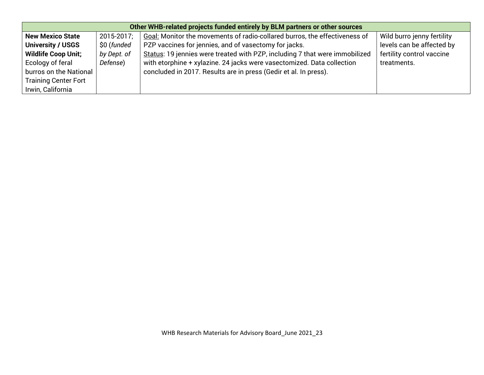| Other WHB-related projects funded entirely by BLM partners or other sources |             |                                                                             |                            |
|-----------------------------------------------------------------------------|-------------|-----------------------------------------------------------------------------|----------------------------|
| <b>New Mexico State</b>                                                     | 2015-2017;  | Goal: Monitor the movements of radio-collared burros, the effectiveness of  | Wild burro jenny fertility |
| <b>University / USGS</b>                                                    | \$0 (funded | PZP vaccines for jennies, and of vasectomy for jacks.                       | levels can be affected by  |
| <b>Wildlife Coop Unit;</b>                                                  | by Dept. of | Status: 19 jennies were treated with PZP, including 7 that were immobilized | fertility control vaccine  |
| Ecology of feral                                                            | Defense)    | with etorphine + xylazine. 24 jacks were vasectomized. Data collection      | treatments.                |
| burros on the National                                                      |             | concluded in 2017. Results are in press (Gedir et al. In press).            |                            |
| <b>Training Center Fort</b>                                                 |             |                                                                             |                            |
| Irwin, California                                                           |             |                                                                             |                            |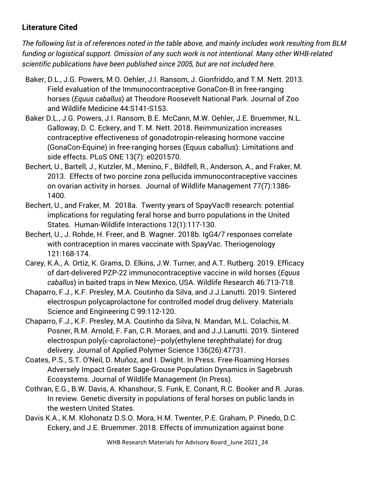## **Literature Cited**

*The following list is of references noted in the table above, and mainly includes work resulting from BLM funding or logistical support. Omission of any such work is not intentional. Many other WHB-related scientific publications have been published since 2005, but are not included here.*

- Baker, D.L., J.G. Powers, M.O. Oehler, J.I. Ransom, J. Gionfriddo, and T.M. Nett. 2013. Field evaluation of the Immunocontraceptive GonaCon-B in free-ranging horses (*Equus caballus*) at Theodore Roosevelt National Park. Journal of Zoo and Wildlife Medicine 44:S141-S153.
- Baker D.L., J.G. Powers, J.I. Ransom, B.E. McCann, M.W. Oehler, J.E. Bruemmer, N.L. Galloway, D. C. Eckery, and T. M. Nett. 2018. Reimmunization increases contraceptive effectiveness of gonadotropin-releasing hormone vaccine (GonaCon-Equine) in free-ranging horses (Equus caballus): Limitations and side effects. PLoS ONE 13(7): e0201570.
- Bechert, U., Bartell, J., Kutzler, M., Menino, F., Bildfell, R., Anderson, A., and Fraker, M. 2013. Effects of two porcine zona pellucida immunocontraceptive vaccines on ovarian activity in horses. Journal of Wildlife Management 77(7):1386- 1400.
- Bechert, U., and Fraker, M. 2018a. Twenty years of SpayVac® research: potential implications for regulating feral horse and burro populations in the United States. Human-Wildlife Interactions 12(1):117-130.
- Bechert, U., J. Rohde, H. Freer, and B. Wagner. 2018b. IgG4/7 responses correlate with contraception in mares vaccinate with SpayVac. Theriogenology 121:168-174.
- Carey, K.A., A. Ortiz, K. Grams, D. Elkins, J.W. Turner, and A.T. Rutberg. 2019. Efficacy of dart-delivered PZP-22 immunocontraceptive vaccine in wild horses (*Equus caballus*) in baited traps in New Mexico, USA. Wildlife Research 46:713-718.
- Chaparro, F.J., K.F. Presley, M.A. Coutinho da Silva, and J.J.Lanutti. 2019. Sintered electrospun polycaprolactone for controlled model drug delivery. Materials Science and Engineering C 99:112-120.
- Chaparro, F.J., K.F. Presley, M.A. Coutinho da Silva, N. Mandan, M.L. Colachis, M. Posner, R.M. Arnold, F. Fan, C.R. Moraes, and and J.J.Lanutti. 2019. Sintered electrospun poly(∈-caprolactone)–poly(ethylene terephthalate) for drug delivery. Journal of Applied Polymer Science 136(26):47731.
- Coates, P.S., S.T. O'Neil, D. Muñoz, and I. Dwight. In Press. Free-Roaming Horses Adversely Impact Greater Sage-Grouse Population Dynamics in Sagebrush Ecosystems. Journal of Wildlife Management (In Press).
- Cothran, E.G., B.W. Davis, A. Khanshour, S. Funk, E. Conant, R.C. Booker and R. Juras. In review. Genetic diversity in populations of feral horses on public lands in the western United States.
- Davis K.A., K.M. Klohonatz D.S.O. Mora, H.M. Twenter, P.E. Graham, P. Pinedo, D.C. Eckery, and J.E. Bruemmer. 2018. Effects of immunization against bone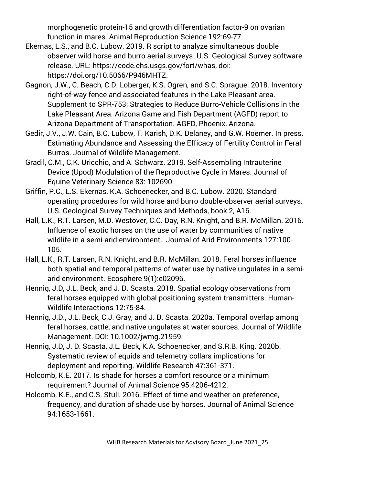morphogenetic protein-15 and growth differentiation factor-9 on ovarian function in mares. Animal Reproduction Science 192:69-77.

- Ekernas, L.S., and B.C. Lubow. 2019. R script to analyze simultaneous double observer wild horse and burro aerial surveys. U.S. Geological Survey software release. URL: https://code.chs.usgs.gov/fort/whas, doi: [https://doi.org/10.5066/P946MHTZ.](https://doi.org/10.5066/P946MHTZ)
- Gagnon, J.W., C. Beach, C.D. Loberger, K.S. Ogren, and S.C. Sprague. 2018. Inventory right-of-way fence and associated features in the Lake Pleasant area. Supplement to SPR-753: Strategies to Reduce Burro-Vehicle Collisions in the Lake Pleasant Area. Arizona Game and Fish Department (AGFD) report to Arizona Department of Transportation. AGFD, Phoenix, Arizona.
- Gedir, J.V., J.W. Cain, B.C. Lubow, T. Karish, D.K. Delaney, and G.W. Roemer. In press. Estimating Abundance and Assessing the Efficacy of Fertility Control in Feral Burros. Journal of Wildlife Management.
- Gradil, C.M., C.K. Uricchio, and A. Schwarz. 2019. Self-Assembling Intrauterine Device (Upod) Modulation of the Reproductive Cycle in Mares. Journal of Equine Veterinary Science 83: 102690.
- Griffin, P.C., L.S. Ekernas, K.A. Schoenecker, and B.C. Lubow. 2020. Standard operating procedures for wild horse and burro double-observer aerial surveys. U.S. Geological Survey Techniques and Methods, book 2, A16.
- Hall, L.K., R.T. Larsen, M.D. Westover, C.C. Day, R.N. Knight, and B.R. McMillan. 2016. Influence of exotic horses on the use of water by communities of native wildlife in a semi-arid environment. Journal of Arid Environments 127:100- 105.
- Hall, L.K., R.T. Larsen, R.N. Knight, and B.R. McMillan. 2018. Feral horses influence both spatial and temporal patterns of water use by native ungulates in a semiarid environment. Ecosphere 9(1):e02096.
- Hennig, J.D, J.L. Beck, and J. D. Scasta. 2018. Spatial ecology observations from feral horses equipped with global positioning system transmitters. Human-Wildlife Interactions 12:75-84.
- Hennig, J.D., J.L. Beck, C.J. Gray, and J. D. Scasta. 2020a. Temporal overlap among feral horses, cattle, and native ungulates at water sources. Journal of Wildlife Management. DOI: 10.1002/jwmg.21959.
- Hennig, J.D, J. D. Scasta, J.L. Beck, K.A. Schoenecker, and S.R.B. King. 2020b. Systematic review of equids and telemetry collars implications for deployment and reporting. Wildlife Research 47:361-371.
- Holcomb, K.E. 2017. Is shade for horses a comfort resource or a minimum requirement? Journal of Animal Science 95:4206-4212.
- Holcomb, K.E., and C.S. Stull. 2016. Effect of time and weather on preference, frequency, and duration of shade use by horses. Journal of Animal Science 94:1653-1661.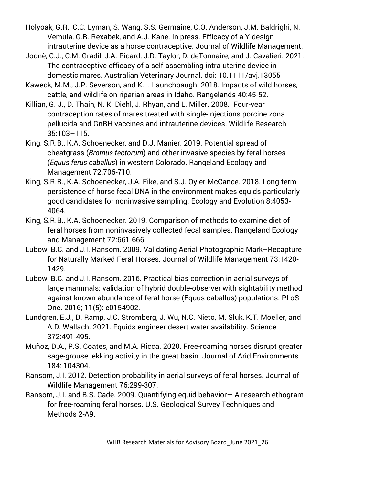Holyoak, G.R., C.C. Lyman, S. Wang, S.S. Germaine, C.O. Anderson, J.M. Baldrighi, N. Vemula, G.B. Rexabek, and A.J. Kane. In press. Efficacy of a Y-design intrauterine device as a horse contraceptive. Journal of Wildlife Management.

- Joonè, C.J., C.M. Gradil, J.A. Picard, J.D. Taylor, D. deTonnaire, and J. Cavalieri. 2021. The contraceptive efficacy of a self-assembling intra-uterine device in domestic mares. Australian Veterinary Journal. doi: 10.1111/avj.13055
- Kaweck, M.M., J.P. Severson, and K.L. Launchbaugh. 2018. Impacts of wild horses, cattle, and wildlife on riparian areas in Idaho. Rangelands 40:45-52.
- Killian, G. J., D. Thain, N. K. Diehl, J. Rhyan, and L. Miller. 2008. Four-year contraception rates of mares treated with single-injections porcine zona pellucida and GnRH vaccines and intrauterine devices. Wildlife Research 35:103–115.
- King, S.R.B., K.A. Schoenecker, and D.J. Manier. 2019. Potential spread of cheatgrass (*Bromus tectorum*) and other invasive species by feral horses (*Equus ferus caballus*) in western Colorado. Rangeland Ecology and Management 72:706-710.
- King, S.R.B., K.A. Schoenecker, J.A. Fike, and S.J. Oyler-McCance. 2018. Long-term persistence of horse fecal DNA in the environment makes equids particularly good candidates for noninvasive sampling. Ecology and Evolution 8:4053- 4064.
- King, S.R.B., K.A. Schoenecker. 2019. Comparison of methods to examine diet of feral horses from noninvasively collected fecal samples. Rangeland Ecology and Management 72:661-666.
- Lubow, B.C. and J.I. Ransom. 2009. Validating Aerial Photographic Mark–Recapture for Naturally Marked Feral Horses. Journal of Wildlife Management 73:1420- 1429.
- Lubow, B.C. and J.I. Ransom. 2016. Practical bias correction in aerial surveys of large mammals: validation of hybrid double-observer with sightability method against known abundance of feral horse (Equus caballus) populations. PLoS One. 2016; 11(5): e0154902.
- Lundgren, E.J., D. Ramp, J.C. Stromberg, J. Wu, N.C. Nieto, M. Sluk, K.T. Moeller, and A.D. Wallach. 2021. Equids engineer desert water availability. Science 372:491-495.
- Muñoz, D.A., P.S. Coates, and M.A. Ricca. 2020. Free-roaming horses disrupt greater sage-grouse lekking activity in the great basin. Journal of Arid Environments 184: 104304.
- Ransom, J.I. 2012. Detection probability in aerial surveys of feral horses. Journal of Wildlife Management 76:299-307.
- Ransom, J.I. and B.S. Cade. 2009. Quantifying equid behavior— A research ethogram for free-roaming feral horses. U.S. Geological Survey Techniques and Methods 2-A9.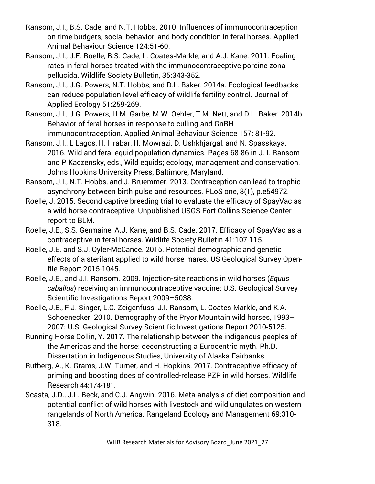- Ransom, J.I., B.S. Cade, and N.T. Hobbs. 2010. Influences of immunocontraception on time budgets, social behavior, and body condition in feral horses. Applied Animal Behaviour Science 124:51-60.
- Ransom, J.I., J.E. Roelle, B.S. Cade, L. Coates‐Markle, and A.J. Kane. 2011. Foaling rates in feral horses treated with the immunocontraceptive porcine zona pellucida. Wildlife Society Bulletin, 35:343-352.
- Ransom, J.I., J.G. Powers, N.T. Hobbs, and D.L. Baker. 2014a. Ecological feedbacks can reduce population-level efficacy of wildlife fertility control. Journal of Applied Ecology 51:259-269.
- Ransom, J.I., J.G. Powers, H.M. Garbe, M.W. Oehler, T.M. Nett, and D.L. Baker. 2014b. Behavior of feral horses in response to culling and GnRH immunocontraception. Applied Animal Behaviour Science 157: 81-92.
- Ransom, J.I., L Lagos, H. Hrabar, H. Mowrazi, D. Ushkhjargal, and N. Spasskaya. 2016. Wild and feral equid population dynamics. Pages 68-86 in J. I. Ransom and P Kaczensky, eds., Wild equids; ecology, management and conservation. Johns Hopkins University Press, Baltimore, Maryland.
- Ransom, J.I., N.T. Hobbs, and J. Bruemmer. 2013. Contraception can lead to trophic asynchrony between birth pulse and resources. PLoS one, 8(1), p.e54972.
- Roelle, J. 2015. Second captive breeding trial to evaluate the efficacy of SpayVac as a wild horse contraceptive. Unpublished USGS Fort Collins Science Center report to BLM.
- Roelle, J.E., S.S. Germaine, A.J. Kane, and B.S. Cade. 2017. Efficacy of SpayVac as a contraceptive in feral horses. Wildlife Society Bulletin 41:107-115.
- Roelle, J.E. and S.J. Oyler-McCance. 2015. Potential demographic and genetic effects of a sterilant applied to wild horse mares. US Geological Survey Openfile Report 2015-1045.
- Roelle, J.E., and J.I. Ransom. 2009. Injection-site reactions in wild horses (*Equus caballus*) receiving an immunocontraceptive vaccine: U.S. Geological Survey Scientific Investigations Report 2009–5038.
- Roelle, J.E., F.J. Singer, L.C. Zeigenfuss, J.I. Ransom, L. Coates-Markle, and K.A. Schoenecker. 2010. Demography of the Pryor Mountain wild horses, 1993– 2007: U.S. Geological Survey Scientific Investigations Report 2010-5125.
- Running Horse Collin, Y. 2017. The relationship between the indigenous peoples of the Americas and the horse: deconstructing a Eurocentric myth. Ph.D. Dissertation in Indigenous Studies, University of Alaska Fairbanks.
- Rutberg, A., K. Grams, J.W. Turner, and H. Hopkins. 2017. Contraceptive efficacy of priming and boosting does of controlled-release PZP in wild horses. Wildlife Research 44:174-181.
- Scasta, J.D., J.L. Beck, and C.J. Angwin. 2016. Meta-analysis of diet composition and potential conflict of wild horses with livestock and wild ungulates on western rangelands of North America. Rangeland Ecology and Management 69:310- 318.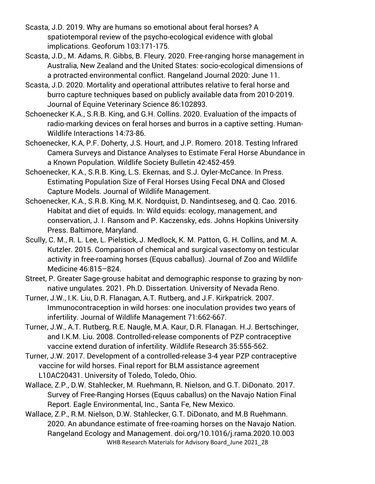- Scasta, J.D. 2019. Why are humans so emotional about feral horses? A spatiotemporal review of the psycho-ecological evidence with global implications. Geoforum 103:171-175.
- Scasta, J.D., M. Adams, R. Gibbs, B. Fleury. 2020. Free-ranging horse management in Australia, New Zealand and the United States: socio-ecological dimensions of a protracted environmental conflict. Rangeland Journal 2020: June 11.
- Scasta, J.D. 2020. Mortality and operational attributes relative to feral horse and burro capture techniques based on publicly available data from 2010-2019. Journal of Equine Veterinary Science 86:102893.
- Schoenecker K.A., S.R.B. King, and G.H. Collins. 2020. Evaluation of the impacts of radio-marking devices on feral horses and burros in a captive setting. Human-Wildlife Interactions 14:73-86.
- Schoenecker, K.A, P.F. Doherty, J.S. Hourt, and J.P. Romero. 2018. Testing Infrared Camera Surveys and Distance Analyses to Estimate Feral Horse Abundance in a Known Population. Wildlife Society Bulletin 42:452-459.
- Schoenecker, K.A., S.R.B. King, L.S. Ekernas, and S.J. Oyler-McCance. In Press. Estimating Population Size of Feral Horses Using Fecal DNA and Closed Capture Models. Journal of Wildlife Management.
- Schoenecker, K.A., S.R.B. King, M.K. Nordquist, D. Nandintseseg, and Q. Cao. 2016. Habitat and diet of equids. In: Wild equids: ecology, management, and conservation, J. I. Ransom and P. Kaczensky, eds. Johns Hopkins University Press. Baltimore, Maryland.
- Scully, C. M., R. L. Lee, L. Pielstick, J. Medlock, K. M. Patton, G. H. Collins, and M. A. Kutzler. 2015. Comparison of chemical and surgical vasectomy on testicular activity in free-roaming horses (Equus caballus). Journal of Zoo and Wildlife Medicine 46:815–824.
- Street, P. Greater Sage-grouse habitat and demographic response to grazing by nonnative ungulates. 2021. Ph.D. Dissertation. University of Nevada Reno.
- Turner, J.W., I.K. Liu, D.R. Flanagan, A.T. Rutberg, and J.F. Kirkpatrick. 2007. Immunocontraception in wild horses: one inoculation provides two years of infertility. Journal of Wildlife Management 71:662-667.
- Turner, J.W., A.T. Rutberg, R.E. Naugle, M.A. Kaur, D.R. Flanagan. H.J. Bertschinger, and I.K.M. Liu. 2008. Controlled-release components of PZP contraceptive vaccine extend duration of infertility. Wildlife Research 35:555-562.
- Turner, J.W. 2017. Development of a controlled-release 3-4 year PZP contraceptive vaccine for wild horses. Final report for BLM assistance agreement L10AC20431. University of Toledo, Toledo, Ohio.
- Wallace, Z.P., D.W. Stahlecker, M. Ruehmann, R. Nielson, and G.T. DiDonato. 2017. Survey of Free-Ranging Horses (Equus caballus) on the Navajo Nation Final Report. Eagle Environmental, Inc., Santa Fe, New Mexico.
- WHB Research Materials for Advisory Board\_June 2021\_28 Wallace, Z.P., R.M. Nielson, D.W. Stahlecker, G.T. DiDonato, and M.B Ruehmann. 2020. An abundance estimate of free-roaming horses on the Navajo Nation. Rangeland Ecology and Management. doi.org/10.1016/j.rama.2020.10.003